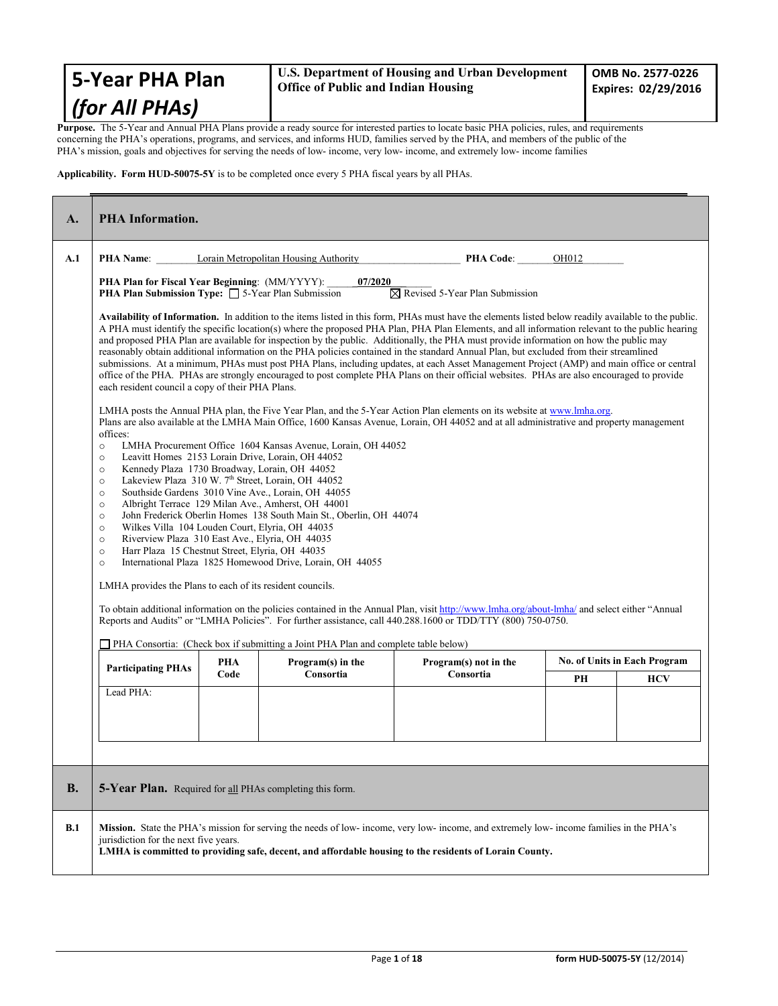| 5-Year PHA Plan    | U.S. Department of Housing and Urban Development<br><b>Office of Public and Indian Housing</b>                                                     | OMB No. 2577-0226<br>Expires: 02/29/2016 |
|--------------------|----------------------------------------------------------------------------------------------------------------------------------------------------|------------------------------------------|
| $ $ (for All PHAs) |                                                                                                                                                    |                                          |
|                    | <b>Purnose</b> The 5 Vear and Annual DHA Dlans provide a ready source for interested parties to locate basic DHA policies, rules, and requirements |                                          |

**Purpose.** The 5-Year and Annual PHA Plans provide a ready source for interested parties to locate basic PHA policies, rules, and requirements concerning the PHA's operations, programs, and services, and informs HUD, families served by the PHA, and members of the public of the PHA's mission, goals and objectives for serving the needs of low- income, very low- income, and extremely low- income families

**Applicability. Form HUD-50075-5Y** is to be completed once every 5 PHA fiscal years by all PHAs.

| A.        | <b>PHA Information.</b>                                                                                                                                                                                                                                                                                                                                                                                  |      |                                                                                                                                                                                                                                                                                                                                                                                                                        |                                                                                                                                                                                                                                                                                                                                                                                                                                                                                                                                                                                                                                                                                                                                                                                                                                                                                         |       |                                     |
|-----------|----------------------------------------------------------------------------------------------------------------------------------------------------------------------------------------------------------------------------------------------------------------------------------------------------------------------------------------------------------------------------------------------------------|------|------------------------------------------------------------------------------------------------------------------------------------------------------------------------------------------------------------------------------------------------------------------------------------------------------------------------------------------------------------------------------------------------------------------------|-----------------------------------------------------------------------------------------------------------------------------------------------------------------------------------------------------------------------------------------------------------------------------------------------------------------------------------------------------------------------------------------------------------------------------------------------------------------------------------------------------------------------------------------------------------------------------------------------------------------------------------------------------------------------------------------------------------------------------------------------------------------------------------------------------------------------------------------------------------------------------------------|-------|-------------------------------------|
| A.1       | <b>PHA Name:</b>                                                                                                                                                                                                                                                                                                                                                                                         |      | Lorain Metropolitan Housing Authority                                                                                                                                                                                                                                                                                                                                                                                  | <b>PHA Code:</b>                                                                                                                                                                                                                                                                                                                                                                                                                                                                                                                                                                                                                                                                                                                                                                                                                                                                        | OH012 |                                     |
|           | PHA Plan for Fiscal Year Beginning: (MM/YYYY):<br><b>PHA Plan Submission Type:</b> $\Box$ 5-Year Plan Submission                                                                                                                                                                                                                                                                                         |      | 07/2020                                                                                                                                                                                                                                                                                                                                                                                                                | $\boxtimes$ Revised 5-Year Plan Submission                                                                                                                                                                                                                                                                                                                                                                                                                                                                                                                                                                                                                                                                                                                                                                                                                                              |       |                                     |
|           | each resident council a copy of their PHA Plans.                                                                                                                                                                                                                                                                                                                                                         |      |                                                                                                                                                                                                                                                                                                                                                                                                                        | Availability of Information. In addition to the items listed in this form, PHAs must have the elements listed below readily available to the public.<br>A PHA must identify the specific location(s) where the proposed PHA Plan, PHA Plan Elements, and all information relevant to the public hearing<br>and proposed PHA Plan are available for inspection by the public. Additionally, the PHA must provide information on how the public may<br>reasonably obtain additional information on the PHA policies contained in the standard Annual Plan, but excluded from their streamlined<br>submissions. At a minimum, PHAs must post PHA Plans, including updates, at each Asset Management Project (AMP) and main office or central<br>office of the PHA. PHAs are strongly encouraged to post complete PHA Plans on their official websites. PHAs are also encouraged to provide |       |                                     |
|           | offices:<br>$\circ$<br>$\circ$<br>Kennedy Plaza 1730 Broadway, Lorain, OH 44052<br>$\circ$<br>$\circ$<br>$\circ$<br>$\circ$<br>$\circ$<br>Wilkes Villa 104 Louden Court, Elyria, OH 44035<br>$\circ$<br>Riverview Plaza 310 East Ave., Elyria, OH 44035<br>$\circ$<br>Harr Plaza 15 Chestnut Street, Elyria, OH 44035<br>$\circ$<br>$\circ$<br>LMHA provides the Plans to each of its resident councils. |      | LMHA Procurement Office 1604 Kansas Avenue, Lorain, OH 44052<br>Leavitt Homes 2153 Lorain Drive, Lorain, OH 44052<br>Lakeview Plaza 310 W. 7th Street, Lorain, OH 44052<br>Southside Gardens 3010 Vine Ave., Lorain, OH 44055<br>Albright Terrace 129 Milan Ave., Amherst, OH 44001<br>John Frederick Oberlin Homes 138 South Main St., Oberlin, OH 44074<br>International Plaza 1825 Homewood Drive, Lorain, OH 44055 | LMHA posts the Annual PHA plan, the Five Year Plan, and the 5-Year Action Plan elements on its website at www.lmha.org.<br>Plans are also available at the LMHA Main Office, 1600 Kansas Avenue, Lorain, OH 44052 and at all administrative and property management<br>To obtain additional information on the policies contained in the Annual Plan, visit http://www.lmha.org/about-lmha/ and select either "Annual<br>Reports and Audits" or "LMHA Policies". For further assistance, call 440.288.1600 or TDD/TTY (800) 750-0750.                                                                                                                                                                                                                                                                                                                                                   |       |                                     |
|           |                                                                                                                                                                                                                                                                                                                                                                                                          | PHA  | PHA Consortia: (Check box if submitting a Joint PHA Plan and complete table below)<br>Program(s) in the                                                                                                                                                                                                                                                                                                                | Program(s) not in the                                                                                                                                                                                                                                                                                                                                                                                                                                                                                                                                                                                                                                                                                                                                                                                                                                                                   |       | <b>No. of Units in Each Program</b> |
|           | <b>Participating PHAs</b>                                                                                                                                                                                                                                                                                                                                                                                | Code | Consortia                                                                                                                                                                                                                                                                                                                                                                                                              | Consortia                                                                                                                                                                                                                                                                                                                                                                                                                                                                                                                                                                                                                                                                                                                                                                                                                                                                               | PH    | <b>HCV</b>                          |
| <b>B.</b> | Lead PHA:<br><b>5-Year Plan.</b> Required for all PHAs completing this form.                                                                                                                                                                                                                                                                                                                             |      |                                                                                                                                                                                                                                                                                                                                                                                                                        |                                                                                                                                                                                                                                                                                                                                                                                                                                                                                                                                                                                                                                                                                                                                                                                                                                                                                         |       |                                     |
| B.1       | jurisdiction for the next five years.                                                                                                                                                                                                                                                                                                                                                                    |      |                                                                                                                                                                                                                                                                                                                                                                                                                        | Mission. State the PHA's mission for serving the needs of low-income, very low-income, and extremely low-income families in the PHA's<br>LMHA is committed to providing safe, decent, and affordable housing to the residents of Lorain County.                                                                                                                                                                                                                                                                                                                                                                                                                                                                                                                                                                                                                                         |       |                                     |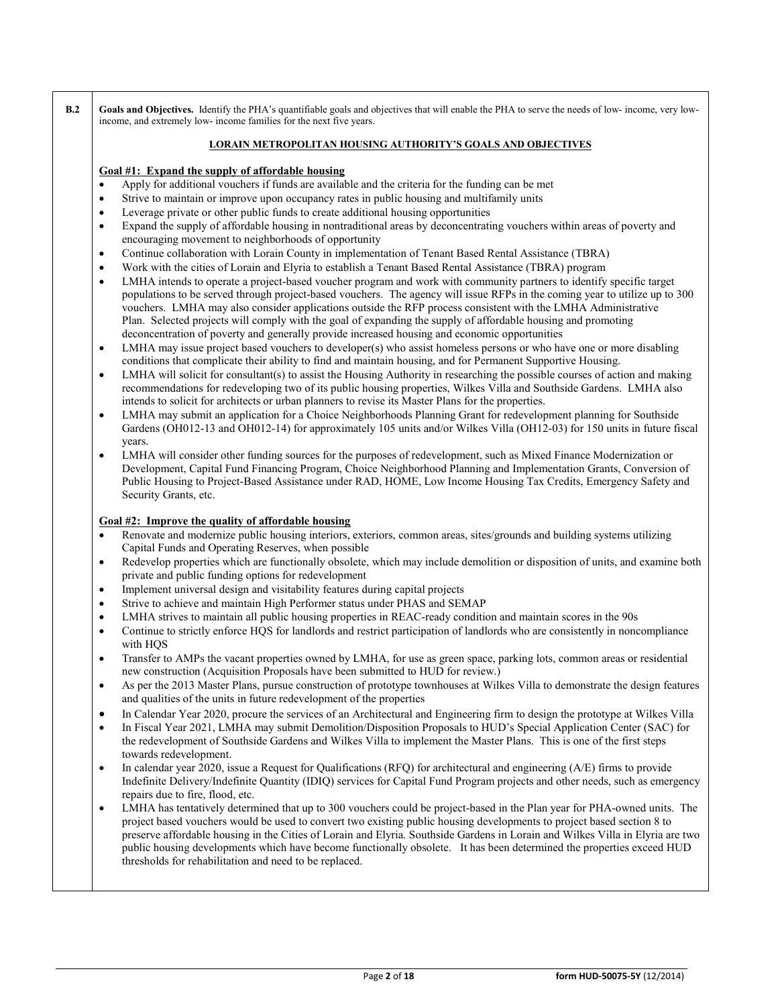**B.2 Goals and Objectives.** Identify the PHA's quantifiable goals and objectives that will enable the PHA to serve the needs of low- income, very lowincome, and extremely low- income families for the next five years.

### **LORAIN METROPOLITAN HOUSING AUTHORITY'S GOALS AND OBJECTIVES**

### **Goal #1: Expand the supply of affordable housing**

- Apply for additional vouchers if funds are available and the criteria for the funding can be met
- Strive to maintain or improve upon occupancy rates in public housing and multifamily units
- Leverage private or other public funds to create additional housing opportunities
- Expand the supply of affordable housing in nontraditional areas by deconcentrating vouchers within areas of poverty and encouraging movement to neighborhoods of opportunity
- Continue collaboration with Lorain County in implementation of Tenant Based Rental Assistance (TBRA)
- Work with the cities of Lorain and Elyria to establish a Tenant Based Rental Assistance (TBRA) program
- LMHA intends to operate a project-based voucher program and work with community partners to identify specific target populations to be served through project-based vouchers. The agency will issue RFPs in the coming year to utilize up to 300 vouchers. LMHA may also consider applications outside the RFP process consistent with the LMHA Administrative Plan. Selected projects will comply with the goal of expanding the supply of affordable housing and promoting deconcentration of poverty and generally provide increased housing and economic opportunities
- LMHA may issue project based vouchers to developer(s) who assist homeless persons or who have one or more disabling conditions that complicate their ability to find and maintain housing, and for Permanent Supportive Housing.
- LMHA will solicit for consultant(s) to assist the Housing Authority in researching the possible courses of action and making recommendations for redeveloping two of its public housing properties, Wilkes Villa and Southside Gardens. LMHA also intends to solicit for architects or urban planners to revise its Master Plans for the properties.
- LMHA may submit an application for a Choice Neighborhoods Planning Grant for redevelopment planning for Southside Gardens (OH012-13 and OH012-14) for approximately 105 units and/or Wilkes Villa (OH12-03) for 150 units in future fiscal years.
- LMHA will consider other funding sources for the purposes of redevelopment, such as Mixed Finance Modernization or Development, Capital Fund Financing Program, Choice Neighborhood Planning and Implementation Grants, Conversion of Public Housing to Project-Based Assistance under RAD, HOME, Low Income Housing Tax Credits, Emergency Safety and Security Grants, etc.

## **Goal #2: Improve the quality of affordable housing**

- Renovate and modernize public housing interiors, exteriors, common areas, sites/grounds and building systems utilizing Capital Funds and Operating Reserves, when possible
- Redevelop properties which are functionally obsolete, which may include demolition or disposition of units, and examine both private and public funding options for redevelopment
- Implement universal design and visitability features during capital projects
- Strive to achieve and maintain High Performer status under PHAS and SEMAP
- LMHA strives to maintain all public housing properties in REAC-ready condition and maintain scores in the 90s
- Continue to strictly enforce HQS for landlords and restrict participation of landlords who are consistently in noncompliance with HQS
- Transfer to AMPs the vacant properties owned by LMHA, for use as green space, parking lots, common areas or residential new construction (Acquisition Proposals have been submitted to HUD for review.)
- As per the 2013 Master Plans, pursue construction of prototype townhouses at Wilkes Villa to demonstrate the design features and qualities of the units in future redevelopment of the properties
- In Calendar Year 2020, procure the services of an Architectural and Engineering firm to design the prototype at Wilkes Villa
- In Fiscal Year 2021, LMHA may submit Demolition/Disposition Proposals to HUD's Special Application Center (SAC) for the redevelopment of Southside Gardens and Wilkes Villa to implement the Master Plans. This is one of the first steps towards redevelopment.
- In calendar year 2020, issue a Request for Qualifications (RFQ) for architectural and engineering (A/E) firms to provide Indefinite Delivery/Indefinite Quantity (IDIQ) services for Capital Fund Program projects and other needs, such as emergency repairs due to fire, flood, etc.
- LMHA has tentatively determined that up to 300 vouchers could be project-based in the Plan year for PHA-owned units. The project based vouchers would be used to convert two existing public housing developments to project based section 8 to preserve affordable housing in the Cities of Lorain and Elyria. Southside Gardens in Lorain and Wilkes Villa in Elyria are two public housing developments which have become functionally obsolete. It has been determined the properties exceed HUD thresholds for rehabilitation and need to be replaced.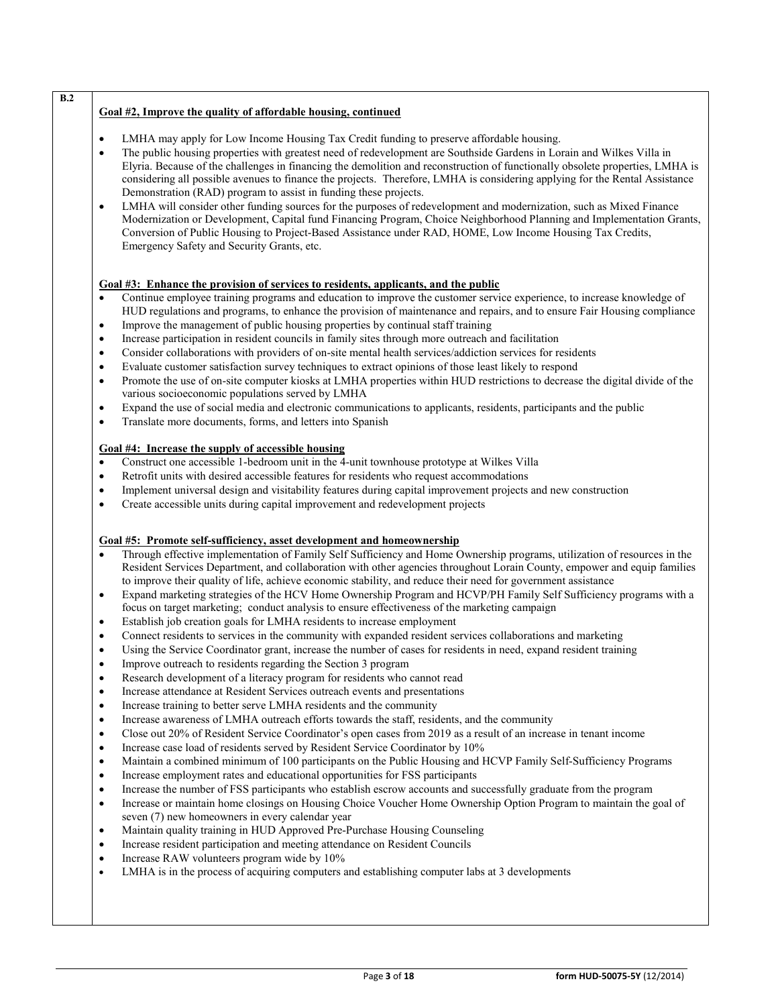# **Goal #2, Improve the quality of affordable housing, continued**

**B.2**

- LMHA may apply for Low Income Housing Tax Credit funding to preserve affordable housing.
- The public housing properties with greatest need of redevelopment are Southside Gardens in Lorain and Wilkes Villa in Elyria. Because of the challenges in financing the demolition and reconstruction of functionally obsolete properties, LMHA is considering all possible avenues to finance the projects. Therefore, LMHA is considering applying for the Rental Assistance Demonstration (RAD) program to assist in funding these projects.
- LMHA will consider other funding sources for the purposes of redevelopment and modernization, such as Mixed Finance Modernization or Development, Capital fund Financing Program, Choice Neighborhood Planning and Implementation Grants, Conversion of Public Housing to Project-Based Assistance under RAD, HOME, Low Income Housing Tax Credits, Emergency Safety and Security Grants, etc.

## **Goal #3: Enhance the provision of services to residents, applicants, and the public**

- Continue employee training programs and education to improve the customer service experience, to increase knowledge of HUD regulations and programs, to enhance the provision of maintenance and repairs, and to ensure Fair Housing compliance
- Improve the management of public housing properties by continual staff training
- Increase participation in resident councils in family sites through more outreach and facilitation
- Consider collaborations with providers of on-site mental health services/addiction services for residents
- Evaluate customer satisfaction survey techniques to extract opinions of those least likely to respond
- Promote the use of on-site computer kiosks at LMHA properties within HUD restrictions to decrease the digital divide of the various socioeconomic populations served by LMHA
- Expand the use of social media and electronic communications to applicants, residents, participants and the public
- Translate more documents, forms, and letters into Spanish

### **Goal #4: Increase the supply of accessible housing**

- Construct one accessible 1-bedroom unit in the 4-unit townhouse prototype at Wilkes Villa
- Retrofit units with desired accessible features for residents who request accommodations
- Implement universal design and visitability features during capital improvement projects and new construction
- Create accessible units during capital improvement and redevelopment projects

# **Goal #5: Promote self-sufficiency, asset development and homeownership**

- Through effective implementation of Family Self Sufficiency and Home Ownership programs, utilization of resources in the Resident Services Department, and collaboration with other agencies throughout Lorain County, empower and equip families to improve their quality of life, achieve economic stability, and reduce their need for government assistance
- Expand marketing strategies of the HCV Home Ownership Program and HCVP/PH Family Self Sufficiency programs with a focus on target marketing; conduct analysis to ensure effectiveness of the marketing campaign
- Establish job creation goals for LMHA residents to increase employment
- Connect residents to services in the community with expanded resident services collaborations and marketing
- Using the Service Coordinator grant, increase the number of cases for residents in need, expand resident training
- Improve outreach to residents regarding the Section 3 program
- Research development of a literacy program for residents who cannot read
- Increase attendance at Resident Services outreach events and presentations
- Increase training to better serve LMHA residents and the community
- Increase awareness of LMHA outreach efforts towards the staff, residents, and the community
- Close out 20% of Resident Service Coordinator's open cases from 2019 as a result of an increase in tenant income
- Increase case load of residents served by Resident Service Coordinator by 10%
- Maintain a combined minimum of 100 participants on the Public Housing and HCVP Family Self-Sufficiency Programs
- Increase employment rates and educational opportunities for FSS participants
- Increase the number of FSS participants who establish escrow accounts and successfully graduate from the program
- Increase or maintain home closings on Housing Choice Voucher Home Ownership Option Program to maintain the goal of seven (7) new homeowners in every calendar year
- Maintain quality training in HUD Approved Pre-Purchase Housing Counseling
- Increase resident participation and meeting attendance on Resident Councils
- Increase RAW volunteers program wide by 10%
- LMHA is in the process of acquiring computers and establishing computer labs at 3 developments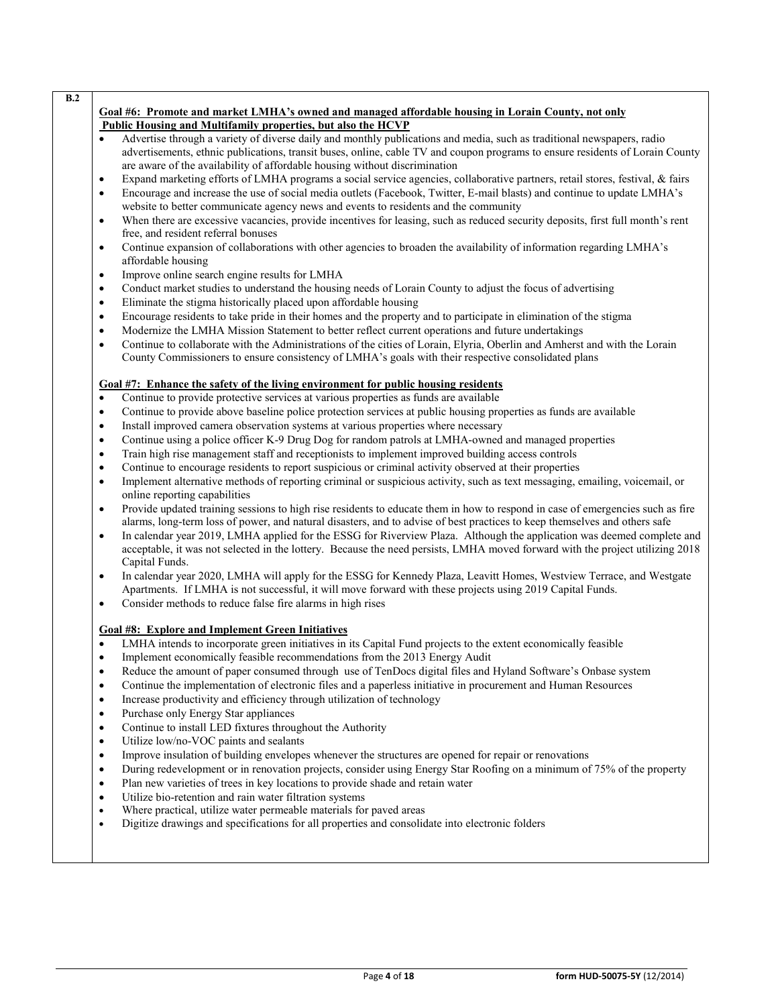| B.2       |                                                                                                                                                                                                                                                                           |
|-----------|---------------------------------------------------------------------------------------------------------------------------------------------------------------------------------------------------------------------------------------------------------------------------|
|           | Goal #6: Promote and market LMHA's owned and managed affordable housing in Lorain County, not only                                                                                                                                                                        |
|           | Public Housing and Multifamily properties, but also the HCVP                                                                                                                                                                                                              |
| $\bullet$ | Advertise through a variety of diverse daily and monthly publications and media, such as traditional newspapers, radio<br>advertisements, ethnic publications, transit buses, online, cable TV and coupon programs to ensure residents of Lorain County                   |
|           | are aware of the availability of affordable housing without discrimination                                                                                                                                                                                                |
| $\bullet$ | Expand marketing efforts of LMHA programs a social service agencies, collaborative partners, retail stores, festival, & fairs                                                                                                                                             |
| $\bullet$ | Encourage and increase the use of social media outlets (Facebook, Twitter, E-mail blasts) and continue to update LMHA's                                                                                                                                                   |
|           | website to better communicate agency news and events to residents and the community                                                                                                                                                                                       |
| $\bullet$ | When there are excessive vacancies, provide incentives for leasing, such as reduced security deposits, first full month's rent<br>free, and resident referral bonuses                                                                                                     |
| $\bullet$ | Continue expansion of collaborations with other agencies to broaden the availability of information regarding LMHA's<br>affordable housing                                                                                                                                |
| ٠         | Improve online search engine results for LMHA                                                                                                                                                                                                                             |
| $\bullet$ | Conduct market studies to understand the housing needs of Lorain County to adjust the focus of advertising                                                                                                                                                                |
| $\bullet$ | Eliminate the stigma historically placed upon affordable housing                                                                                                                                                                                                          |
| $\bullet$ | Encourage residents to take pride in their homes and the property and to participate in elimination of the stigma                                                                                                                                                         |
| $\bullet$ | Modernize the LMHA Mission Statement to better reflect current operations and future undertakings                                                                                                                                                                         |
| $\bullet$ | Continue to collaborate with the Administrations of the cities of Lorain, Elyria, Oberlin and Amherst and with the Lorain<br>County Commissioners to ensure consistency of LMHA's goals with their respective consolidated plans                                          |
|           | Goal #7: Enhance the safety of the living environment for public housing residents                                                                                                                                                                                        |
| $\bullet$ | Continue to provide protective services at various properties as funds are available                                                                                                                                                                                      |
| $\bullet$ | Continue to provide above baseline police protection services at public housing properties as funds are available                                                                                                                                                         |
| $\bullet$ | Install improved camera observation systems at various properties where necessary                                                                                                                                                                                         |
| $\bullet$ | Continue using a police officer K-9 Drug Dog for random patrols at LMHA-owned and managed properties                                                                                                                                                                      |
| $\bullet$ | Train high rise management staff and receptionists to implement improved building access controls                                                                                                                                                                         |
| $\bullet$ | Continue to encourage residents to report suspicious or criminal activity observed at their properties                                                                                                                                                                    |
| $\bullet$ | Implement alternative methods of reporting criminal or suspicious activity, such as text messaging, emailing, voicemail, or<br>online reporting capabilities                                                                                                              |
| $\bullet$ | Provide updated training sessions to high rise residents to educate them in how to respond in case of emergencies such as fire<br>alarms, long-term loss of power, and natural disasters, and to advise of best practices to keep themselves and others safe              |
| $\bullet$ | In calendar year 2019, LMHA applied for the ESSG for Riverview Plaza. Although the application was deemed complete and<br>acceptable, it was not selected in the lottery. Because the need persists, LMHA moved forward with the project utilizing 2018<br>Capital Funds. |
| $\bullet$ | In calendar year 2020, LMHA will apply for the ESSG for Kennedy Plaza, Leavitt Homes, Westview Terrace, and Westgate                                                                                                                                                      |
| $\bullet$ | Apartments. If LMHA is not successful, it will move forward with these projects using 2019 Capital Funds.<br>Consider methods to reduce false fire alarms in high rises                                                                                                   |
|           | <b>Goal #8: Explore and Implement Green Initiatives</b>                                                                                                                                                                                                                   |
| $\bullet$ | LMHA intends to incorporate green initiatives in its Capital Fund projects to the extent economically feasible                                                                                                                                                            |
| $\bullet$ | Implement economically feasible recommendations from the 2013 Energy Audit                                                                                                                                                                                                |
| ٠         | Reduce the amount of paper consumed through use of TenDocs digital files and Hyland Software's Onbase system                                                                                                                                                              |
| ٠         | Continue the implementation of electronic files and a paperless initiative in procurement and Human Resources                                                                                                                                                             |
| $\bullet$ | Increase productivity and efficiency through utilization of technology                                                                                                                                                                                                    |
| ٠         | Purchase only Energy Star appliances                                                                                                                                                                                                                                      |
| $\bullet$ | Continue to install LED fixtures throughout the Authority                                                                                                                                                                                                                 |
| ٠         | Utilize low/no-VOC paints and sealants                                                                                                                                                                                                                                    |
| ٠         | Improve insulation of building envelopes whenever the structures are opened for repair or renovations                                                                                                                                                                     |
| ٠         | During redevelopment or in renovation projects, consider using Energy Star Roofing on a minimum of 75% of the property                                                                                                                                                    |
| ٠         | Plan new varieties of trees in key locations to provide shade and retain water                                                                                                                                                                                            |
| ٠         | Utilize bio-retention and rain water filtration systems                                                                                                                                                                                                                   |
| ٠         | Where practical, utilize water permeable materials for paved areas                                                                                                                                                                                                        |
| ٠         | Digitize drawings and specifications for all properties and consolidate into electronic folders                                                                                                                                                                           |
|           |                                                                                                                                                                                                                                                                           |
|           |                                                                                                                                                                                                                                                                           |
|           |                                                                                                                                                                                                                                                                           |
|           |                                                                                                                                                                                                                                                                           |
|           |                                                                                                                                                                                                                                                                           |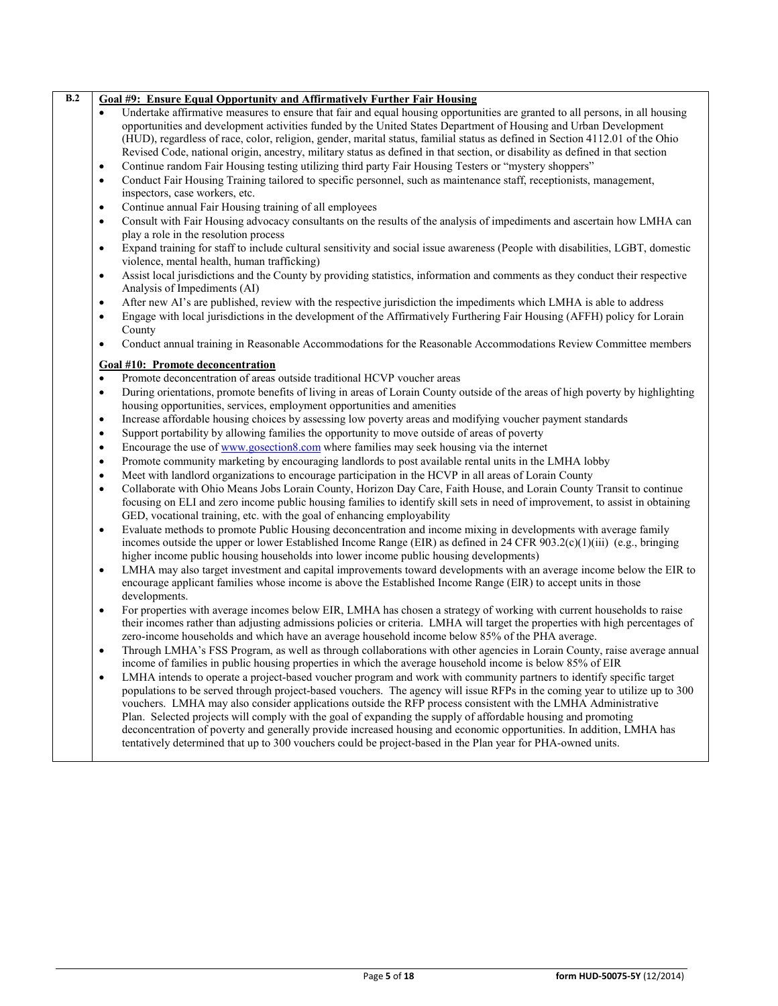| B.2 | Goal #9: Ensure Equal Opportunity and Affirmatively Further Fair Housing                                                                                                                                                                                                                                                                                               |
|-----|------------------------------------------------------------------------------------------------------------------------------------------------------------------------------------------------------------------------------------------------------------------------------------------------------------------------------------------------------------------------|
|     | Undertake affirmative measures to ensure that fair and equal housing opportunities are granted to all persons, in all housing                                                                                                                                                                                                                                          |
|     | opportunities and development activities funded by the United States Department of Housing and Urban Development                                                                                                                                                                                                                                                       |
|     | (HUD), regardless of race, color, religion, gender, marital status, familial status as defined in Section 4112.01 of the Ohio                                                                                                                                                                                                                                          |
|     | Revised Code, national origin, ancestry, military status as defined in that section, or disability as defined in that section                                                                                                                                                                                                                                          |
|     | Continue random Fair Housing testing utilizing third party Fair Housing Testers or "mystery shoppers"<br>$\bullet$                                                                                                                                                                                                                                                     |
|     | Conduct Fair Housing Training tailored to specific personnel, such as maintenance staff, receptionists, management,<br>$\bullet$                                                                                                                                                                                                                                       |
|     | inspectors, case workers, etc.                                                                                                                                                                                                                                                                                                                                         |
|     | Continue annual Fair Housing training of all employees<br>$\bullet$                                                                                                                                                                                                                                                                                                    |
|     | Consult with Fair Housing advocacy consultants on the results of the analysis of impediments and ascertain how LMHA can<br>$\bullet$<br>play a role in the resolution process                                                                                                                                                                                          |
|     | Expand training for staff to include cultural sensitivity and social issue awareness (People with disabilities, LGBT, domestic<br>$\bullet$<br>violence, mental health, human trafficking)                                                                                                                                                                             |
|     | Assist local jurisdictions and the County by providing statistics, information and comments as they conduct their respective<br>$\bullet$<br>Analysis of Impediments (AI)                                                                                                                                                                                              |
|     | After new AI's are published, review with the respective jurisdiction the impediments which LMHA is able to address<br>$\bullet$                                                                                                                                                                                                                                       |
|     | Engage with local jurisdictions in the development of the Affirmatively Furthering Fair Housing (AFFH) policy for Lorain<br>$\bullet$                                                                                                                                                                                                                                  |
|     | County                                                                                                                                                                                                                                                                                                                                                                 |
|     | Conduct annual training in Reasonable Accommodations for the Reasonable Accommodations Review Committee members<br>$\bullet$                                                                                                                                                                                                                                           |
|     | Goal #10: Promote deconcentration                                                                                                                                                                                                                                                                                                                                      |
|     | Promote deconcentration of areas outside traditional HCVP voucher areas<br>$\bullet$                                                                                                                                                                                                                                                                                   |
|     | During orientations, promote benefits of living in areas of Lorain County outside of the areas of high poverty by highlighting<br>$\bullet$                                                                                                                                                                                                                            |
|     | housing opportunities, services, employment opportunities and amenities                                                                                                                                                                                                                                                                                                |
|     | Increase affordable housing choices by assessing low poverty areas and modifying voucher payment standards<br>$\bullet$                                                                                                                                                                                                                                                |
|     | Support portability by allowing families the opportunity to move outside of areas of poverty<br>$\bullet$                                                                                                                                                                                                                                                              |
|     | Encourage the use of www.gosection8.com where families may seek housing via the internet<br>$\bullet$                                                                                                                                                                                                                                                                  |
|     | Promote community marketing by encouraging landlords to post available rental units in the LMHA lobby<br>$\bullet$                                                                                                                                                                                                                                                     |
|     | Meet with landlord organizations to encourage participation in the HCVP in all areas of Lorain County<br>$\bullet$                                                                                                                                                                                                                                                     |
|     | Collaborate with Ohio Means Jobs Lorain County, Horizon Day Care, Faith House, and Lorain County Transit to continue<br>$\bullet$                                                                                                                                                                                                                                      |
|     | focusing on ELI and zero income public housing families to identify skill sets in need of improvement, to assist in obtaining                                                                                                                                                                                                                                          |
|     | GED, vocational training, etc. with the goal of enhancing employability                                                                                                                                                                                                                                                                                                |
|     | Evaluate methods to promote Public Housing deconcentration and income mixing in developments with average family<br>$\bullet$<br>incomes outside the upper or lower Established Income Range (EIR) as defined in 24 CFR 903.2(c)(1)(iii) (e.g., bringing<br>higher income public housing households into lower income public housing developments)                     |
|     | LMHA may also target investment and capital improvements toward developments with an average income below the EIR to<br>$\bullet$<br>encourage applicant families whose income is above the Established Income Range (EIR) to accept units in those<br>developments.                                                                                                   |
|     | For properties with average incomes below EIR, LMHA has chosen a strategy of working with current households to raise<br>$\bullet$<br>their incomes rather than adjusting admissions policies or criteria. LMHA will target the properties with high percentages of<br>zero-income households and which have an average household income below 85% of the PHA average. |
|     | Through LMHA's FSS Program, as well as through collaborations with other agencies in Lorain County, raise average annual<br>$\bullet$<br>income of families in public housing properties in which the average household income is below 85% of EIR                                                                                                                     |
|     | LMHA intends to operate a project-based voucher program and work with community partners to identify specific target<br>$\bullet$<br>populations to be served through project-based vouchers. The agency will issue RFPs in the coming year to utilize up to 300                                                                                                       |
|     | vouchers. LMHA may also consider applications outside the RFP process consistent with the LMHA Administrative                                                                                                                                                                                                                                                          |
|     | Plan. Selected projects will comply with the goal of expanding the supply of affordable housing and promoting                                                                                                                                                                                                                                                          |
|     | deconcentration of poverty and generally provide increased housing and economic opportunities. In addition, LMHA has                                                                                                                                                                                                                                                   |
|     | tentatively determined that up to 300 vouchers could be project-based in the Plan year for PHA-owned units.                                                                                                                                                                                                                                                            |
|     |                                                                                                                                                                                                                                                                                                                                                                        |
|     |                                                                                                                                                                                                                                                                                                                                                                        |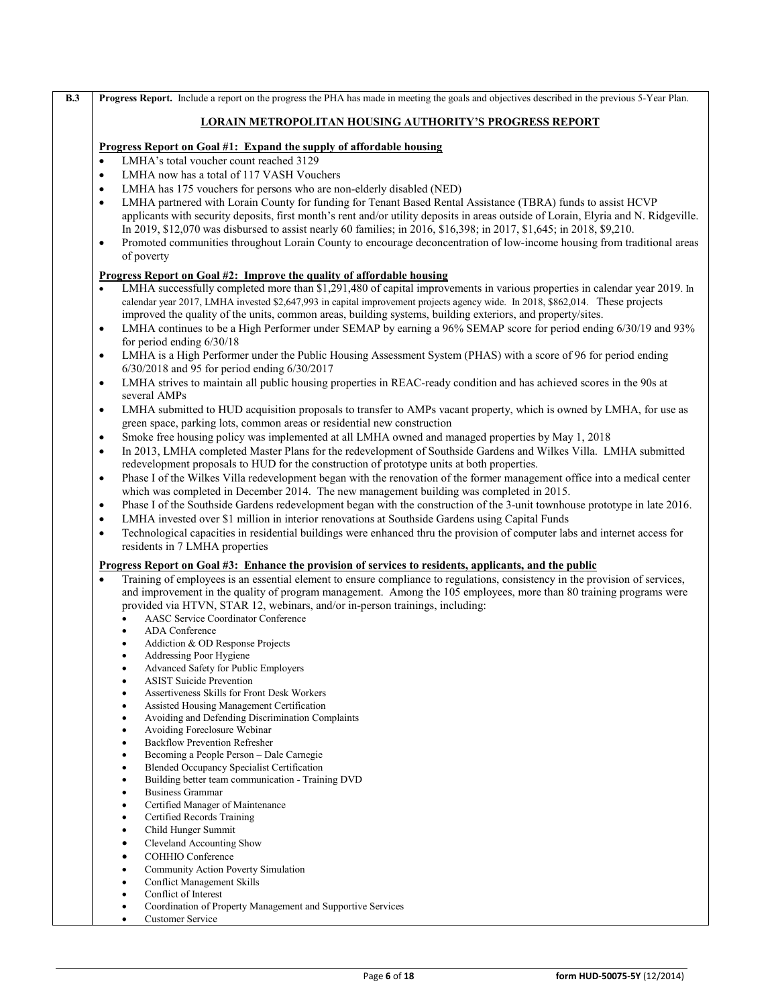|           | <b>Progress Report.</b> Include a report on the progress the PHA has made in meeting the goals and objectives described in the previous 5-Year Plan.                                                                                                |
|-----------|-----------------------------------------------------------------------------------------------------------------------------------------------------------------------------------------------------------------------------------------------------|
|           | <b>LORAIN METROPOLITAN HOUSING AUTHORITY'S PROGRESS REPORT</b>                                                                                                                                                                                      |
|           | <u>Progress Report on Goal #1: Expand the supply of affordable housing</u>                                                                                                                                                                          |
| $\bullet$ | LMHA's total voucher count reached 3129                                                                                                                                                                                                             |
| $\bullet$ | LMHA now has a total of 117 VASH Vouchers                                                                                                                                                                                                           |
| $\bullet$ | LMHA has 175 vouchers for persons who are non-elderly disabled (NED)                                                                                                                                                                                |
| $\bullet$ | LMHA partnered with Lorain County for funding for Tenant Based Rental Assistance (TBRA) funds to assist HCVP<br>applicants with security deposits, first month's rent and/or utility deposits in areas outside of Lorain, Elyria and N. Ridgeville. |
|           | In 2019, \$12,070 was disbursed to assist nearly 60 families; in 2016, \$16,398; in 2017, \$1,645; in 2018, \$9,210.                                                                                                                                |
| $\bullet$ | Promoted communities throughout Lorain County to encourage deconcentration of low-income housing from traditional areas<br>of poverty                                                                                                               |
|           | <u>Progress Report on Goal #2: Improve the quality of affordable housing</u>                                                                                                                                                                        |
| $\bullet$ | LMHA successfully completed more than \$1,291,480 of capital improvements in various properties in calendar year 2019. In                                                                                                                           |
|           | calendar year 2017, LMHA invested \$2,647,993 in capital improvement projects agency wide. In 2018, \$862,014. These projects                                                                                                                       |
|           | improved the quality of the units, common areas, building systems, building exteriors, and property/sites.                                                                                                                                          |
| $\bullet$ | LMHA continues to be a High Performer under SEMAP by earning a 96% SEMAP score for period ending 6/30/19 and 93%<br>for period ending $6/30/18$                                                                                                     |
| $\bullet$ | LMHA is a High Performer under the Public Housing Assessment System (PHAS) with a score of 96 for period ending                                                                                                                                     |
|           | 6/30/2018 and 95 for period ending 6/30/2017                                                                                                                                                                                                        |
| $\bullet$ | LMHA strives to maintain all public housing properties in REAC-ready condition and has achieved scores in the 90s at<br>several AMPs                                                                                                                |
| $\bullet$ | LMHA submitted to HUD acquisition proposals to transfer to AMPs vacant property, which is owned by LMHA, for use as                                                                                                                                 |
|           | green space, parking lots, common areas or residential new construction                                                                                                                                                                             |
| ٠         | Smoke free housing policy was implemented at all LMHA owned and managed properties by May 1, 2018                                                                                                                                                   |
| $\bullet$ | In 2013, LMHA completed Master Plans for the redevelopment of Southside Gardens and Wilkes Villa. LMHA submitted<br>redevelopment proposals to HUD for the construction of prototype units at both properties.                                      |
| $\bullet$ | Phase I of the Wilkes Villa redevelopment began with the renovation of the former management office into a medical center<br>which was completed in December 2014. The new management building was completed in 2015.                               |
| $\bullet$ | Phase I of the Southside Gardens redevelopment began with the construction of the 3-unit townhouse prototype in late 2016.                                                                                                                          |
| $\bullet$ | LMHA invested over \$1 million in interior renovations at Southside Gardens using Capital Funds                                                                                                                                                     |
| $\bullet$ | Technological capacities in residential buildings were enhanced thru the provision of computer labs and internet access for<br>residents in 7 LMHA properties                                                                                       |
|           | Progress Report on Goal #3: Enhance the provision of services to residents, applicants, and the public                                                                                                                                              |
| $\bullet$ | Training of employees is an essential element to ensure compliance to regulations, consistency in the provision of services,                                                                                                                        |
|           | and improvement in the quality of program management. Among the 105 employees, more than 80 training programs were                                                                                                                                  |
|           | provided via HTVN, STAR 12, webinars, and/or in-person trainings, including:                                                                                                                                                                        |
|           | <b>AASC Service Coordinator Conference</b>                                                                                                                                                                                                          |
|           | ADA Conference<br>$\bullet$                                                                                                                                                                                                                         |
|           | Addiction & OD Response Projects<br>Addressing Poor Hygiene<br>٠                                                                                                                                                                                    |
|           | Advanced Safety for Public Employers                                                                                                                                                                                                                |
|           | <b>ASIST Suicide Prevention</b>                                                                                                                                                                                                                     |
|           | Assertiveness Skills for Front Desk Workers                                                                                                                                                                                                         |
|           | Assisted Housing Management Certification<br>٠                                                                                                                                                                                                      |
|           | Avoiding and Defending Discrimination Complaints                                                                                                                                                                                                    |
|           | Avoiding Foreclosure Webinar<br>٠<br><b>Backflow Prevention Refresher</b>                                                                                                                                                                           |
|           | Becoming a People Person - Dale Carnegie<br>٠                                                                                                                                                                                                       |
|           | Blended Occupancy Specialist Certification                                                                                                                                                                                                          |
|           | Building better team communication - Training DVD<br>٠                                                                                                                                                                                              |
|           | <b>Business Grammar</b><br>٠                                                                                                                                                                                                                        |
|           | Certified Manager of Maintenance                                                                                                                                                                                                                    |
|           | Certified Records Training                                                                                                                                                                                                                          |
|           | Child Hunger Summit<br>٠                                                                                                                                                                                                                            |
|           | Cleveland Accounting Show<br>٠                                                                                                                                                                                                                      |
|           | COHHIO Conference<br>٠<br>Community Action Poverty Simulation<br>٠                                                                                                                                                                                  |
|           | <b>Conflict Management Skills</b>                                                                                                                                                                                                                   |
|           | Conflict of Interest                                                                                                                                                                                                                                |
|           | Coordination of Property Management and Supportive Services                                                                                                                                                                                         |
|           | <b>Customer Service</b><br>٠                                                                                                                                                                                                                        |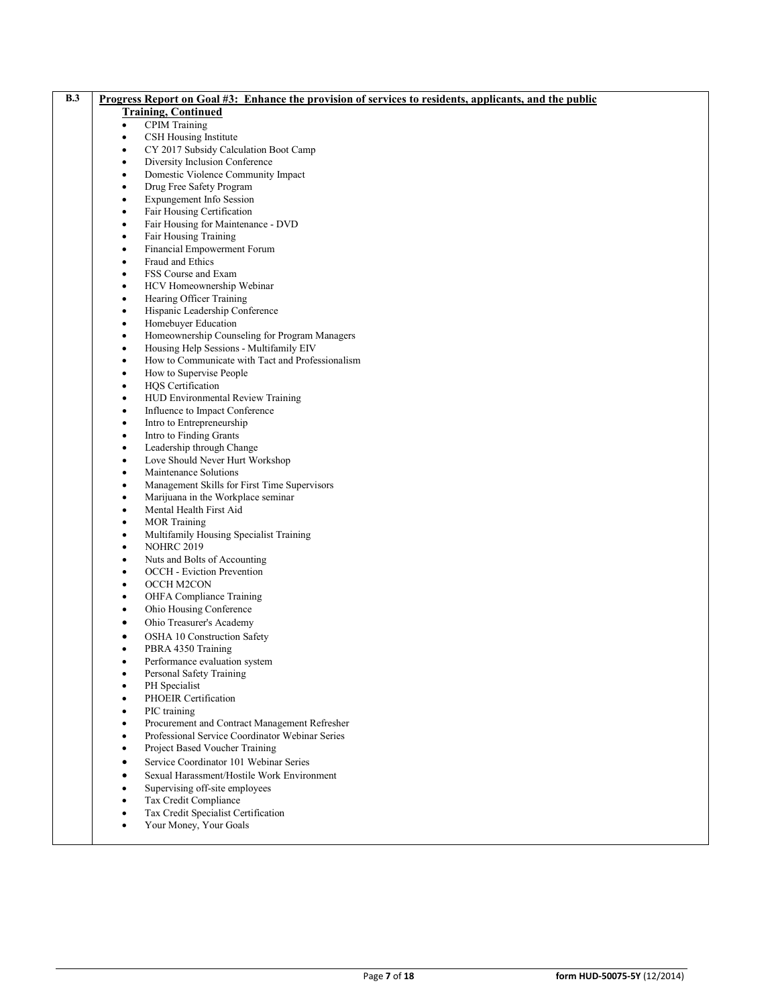| B.3 | <u>Progress Report on Goal #3: Enhance the provision of services to residents, applicants, and the public</u> |
|-----|---------------------------------------------------------------------------------------------------------------|
|     | <b>Training, Continued</b>                                                                                    |
|     | <b>CPIM Training</b><br>٠                                                                                     |
|     | CSH Housing Institute<br>٠                                                                                    |
|     | CY 2017 Subsidy Calculation Boot Camp<br>$\bullet$                                                            |
|     | Diversity Inclusion Conference<br>٠                                                                           |
|     | Domestic Violence Community Impact<br>$\bullet$                                                               |
|     | Drug Free Safety Program<br>$\bullet$                                                                         |
|     | Expungement Info Session<br>$\bullet$                                                                         |
|     | Fair Housing Certification<br>٠                                                                               |
|     | Fair Housing for Maintenance - DVD<br>$\bullet$                                                               |
|     | Fair Housing Training<br>$\bullet$                                                                            |
|     | Financial Empowerment Forum<br>$\bullet$                                                                      |
|     | Fraud and Ethics<br>٠                                                                                         |
|     | FSS Course and Exam<br>$\bullet$                                                                              |
|     | HCV Homeownership Webinar<br>$\bullet$                                                                        |
|     | Hearing Officer Training<br>$\bullet$                                                                         |
|     | Hispanic Leadership Conference<br>٠                                                                           |
|     | Homebuyer Education<br>$\bullet$                                                                              |
|     | Homeownership Counseling for Program Managers<br>$\bullet$                                                    |
|     | Housing Help Sessions - Multifamily EIV<br>$\bullet$                                                          |
|     | How to Communicate with Tact and Professionalism<br>$\bullet$                                                 |
|     | How to Supervise People<br>$\bullet$                                                                          |
|     | HQS Certification<br>$\bullet$                                                                                |
|     | HUD Environmental Review Training<br>٠                                                                        |
|     | Influence to Impact Conference<br>$\bullet$                                                                   |
|     | Intro to Entrepreneurship<br>$\bullet$                                                                        |
|     | Intro to Finding Grants<br>$\bullet$                                                                          |
|     | Leadership through Change<br>$\bullet$                                                                        |
|     | Love Should Never Hurt Workshop<br>$\bullet$                                                                  |
|     | Maintenance Solutions<br>$\bullet$                                                                            |
|     | Management Skills for First Time Supervisors<br>$\bullet$                                                     |
|     | Marijuana in the Workplace seminar<br>$\bullet$                                                               |
|     | Mental Health First Aid<br>$\bullet$                                                                          |
|     | <b>MOR Training</b><br>$\bullet$                                                                              |
|     | Multifamily Housing Specialist Training<br>$\bullet$                                                          |
|     | <b>NOHRC 2019</b><br>$\bullet$                                                                                |
|     | Nuts and Bolts of Accounting<br>$\bullet$                                                                     |
|     | <b>OCCH</b> - Eviction Prevention<br>$\bullet$                                                                |
|     | OCCH M2CON<br>$\bullet$                                                                                       |
|     | OHFA Compliance Training<br>$\bullet$<br>Ohio Housing Conference<br>$\bullet$                                 |
|     |                                                                                                               |
|     | Ohio Treasurer's Academy<br>$\bullet$                                                                         |
|     | OSHA 10 Construction Safety<br>$\bullet$<br>PBRA 4350 Training                                                |
|     | ٠                                                                                                             |
|     | Performance evaluation system<br>Personal Safety Training<br>$\bullet$                                        |
|     | PH Specialist                                                                                                 |
|     | PHOEIR Certification<br>$\bullet$                                                                             |
|     | PIC training                                                                                                  |
|     | Procurement and Contract Management Refresher<br>٠                                                            |
|     | Professional Service Coordinator Webinar Series<br>٠                                                          |
|     | Project Based Voucher Training                                                                                |
|     | Service Coordinator 101 Webinar Series<br>٠                                                                   |
|     | Sexual Harassment/Hostile Work Environment<br>٠                                                               |
|     | Supervising off-site employees                                                                                |
|     | Tax Credit Compliance<br>٠                                                                                    |
|     |                                                                                                               |

- Tax Credit Specialist Certification
- Your Money, Your Goals
-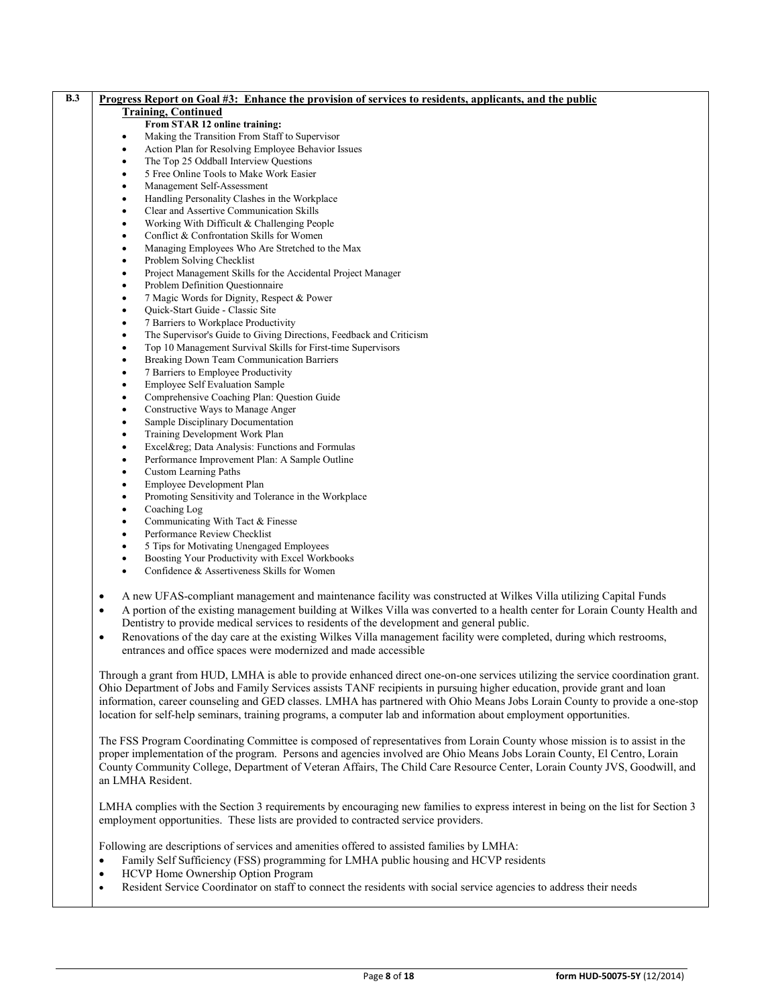| B.3 | Progress Report on Goal #3: Enhance the provision of services to residents, applicants, and the public                                   |
|-----|------------------------------------------------------------------------------------------------------------------------------------------|
|     | <b>Training, Continued</b>                                                                                                               |
|     | From STAR 12 online training:                                                                                                            |
|     | Making the Transition From Staff to Supervisor<br>٠                                                                                      |
|     | Action Plan for Resolving Employee Behavior Issues<br>$\bullet$                                                                          |
|     | The Top 25 Oddball Interview Questions<br>٠                                                                                              |
|     | 5 Free Online Tools to Make Work Easier<br>٠                                                                                             |
|     | Management Self-Assessment<br>$\bullet$                                                                                                  |
|     | Handling Personality Clashes in the Workplace<br>٠                                                                                       |
|     | Clear and Assertive Communication Skills<br>٠                                                                                            |
|     | Working With Difficult & Challenging People<br>$\bullet$                                                                                 |
|     | Conflict & Confrontation Skills for Women<br>٠                                                                                           |
|     | Managing Employees Who Are Stretched to the Max<br>٠<br>Problem Solving Checklist                                                        |
|     | ٠<br>Project Management Skills for the Accidental Project Manager<br>٠                                                                   |
|     | Problem Definition Questionnaire<br>٠                                                                                                    |
|     | 7 Magic Words for Dignity, Respect & Power<br>$\bullet$                                                                                  |
|     | Quick-Start Guide - Classic Site<br>$\bullet$                                                                                            |
|     | 7 Barriers to Workplace Productivity<br>$\bullet$                                                                                        |
|     | The Supervisor's Guide to Giving Directions, Feedback and Criticism<br>٠                                                                 |
|     | Top 10 Management Survival Skills for First-time Supervisors<br>٠                                                                        |
|     | Breaking Down Team Communication Barriers<br>٠                                                                                           |
|     | 7 Barriers to Employee Productivity<br>$\bullet$                                                                                         |
|     | <b>Employee Self Evaluation Sample</b><br>٠                                                                                              |
|     | Comprehensive Coaching Plan: Question Guide<br>٠                                                                                         |
|     | Constructive Ways to Manage Anger<br>٠                                                                                                   |
|     | Sample Disciplinary Documentation<br>$\bullet$                                                                                           |
|     | Training Development Work Plan<br>٠                                                                                                      |
|     | Excel® Data Analysis: Functions and Formulas<br>$\bullet$                                                                                |
|     | Performance Improvement Plan: A Sample Outline<br>$\bullet$                                                                              |
|     | <b>Custom Learning Paths</b><br>٠                                                                                                        |
|     | Employee Development Plan<br>٠                                                                                                           |
|     | Promoting Sensitivity and Tolerance in the Workplace<br>٠                                                                                |
|     | Coaching Log<br>$\bullet$<br>Communicating With Tact & Finesse                                                                           |
|     | ٠<br>Performance Review Checklist<br>٠                                                                                                   |
|     | 5 Tips for Motivating Unengaged Employees<br>٠                                                                                           |
|     | Boosting Your Productivity with Excel Workbooks<br>$\bullet$                                                                             |
|     | Confidence & Assertiveness Skills for Women                                                                                              |
|     |                                                                                                                                          |
|     | A new UFAS-compliant management and maintenance facility was constructed at Wilkes Villa utilizing Capital Funds<br>$\bullet$            |
|     | A portion of the existing management building at Wilkes Villa was converted to a health center for Lorain County Health and<br>$\bullet$ |
|     | Dentistry to provide medical services to residents of the development and general public.                                                |
|     | Renovations of the day care at the existing Wilkes Villa management facility were completed, during which restrooms,<br>$\bullet$        |
|     | entrances and office spaces were modernized and made accessible                                                                          |
|     |                                                                                                                                          |
|     | Through a grant from HUD, LMHA is able to provide enhanced direct one-on-one services utilizing the service coordination grant.          |
|     | Ohio Department of Jobs and Family Services assists TANF recipients in pursuing higher education, provide grant and loan                 |
|     | information, career counseling and GED classes. LMHA has partnered with Ohio Means Jobs Lorain County to provide a one-stop              |
|     | location for self-help seminars, training programs, a computer lab and information about employment opportunities.                       |
|     |                                                                                                                                          |
|     | The FSS Program Coordinating Committee is composed of representatives from Lorain County whose mission is to assist in the               |
|     | proper implementation of the program. Persons and agencies involved are Ohio Means Jobs Lorain County, El Centro, Lorain                 |
|     | County Community College, Department of Veteran Affairs, The Child Care Resource Center, Lorain County JVS, Goodwill, and                |
|     | an LMHA Resident.                                                                                                                        |
|     |                                                                                                                                          |
|     | LMHA complies with the Section 3 requirements by encouraging new families to express interest in being on the list for Section 3         |
|     | employment opportunities. These lists are provided to contracted service providers.                                                      |
|     |                                                                                                                                          |
|     | Following are descriptions of services and amenities offered to assisted families by LMHA:                                               |
|     | Family Self Sufficiency (FSS) programming for LMHA public housing and HCVP residents<br>$\bullet$                                        |
|     | HCVP Home Ownership Option Program<br>$\bullet$                                                                                          |
|     | Resident Service Coordinator on staff to connect the residents with social service agencies to address their needs                       |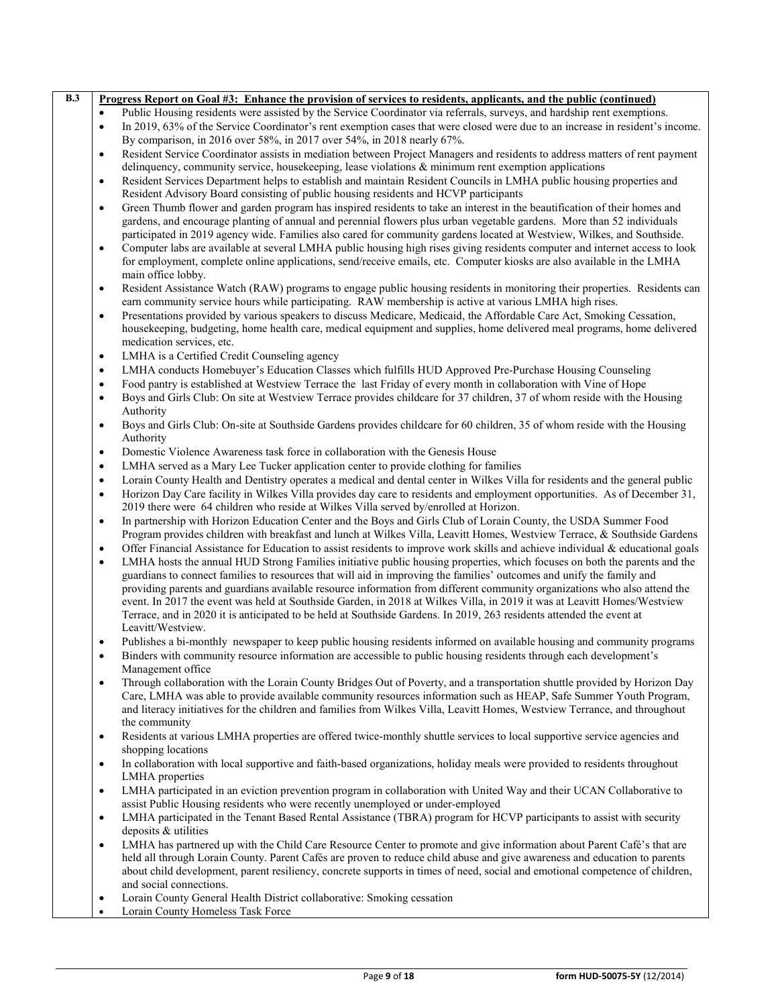| $\overline{B.3}$ | Progress Report on Goal #3: Enhance the provision of services to residents, applicants, and the public (continued)                                                                                                                                              |  |
|------------------|-----------------------------------------------------------------------------------------------------------------------------------------------------------------------------------------------------------------------------------------------------------------|--|
|                  | Public Housing residents were assisted by the Service Coordinator via referrals, surveys, and hardship rent exemptions.<br>$\bullet$                                                                                                                            |  |
|                  | In 2019, 63% of the Service Coordinator's rent exemption cases that were closed were due to an increase in resident's income.<br>$\bullet$                                                                                                                      |  |
|                  | By comparison, in 2016 over 58%, in 2017 over 54%, in 2018 nearly 67%.                                                                                                                                                                                          |  |
|                  | Resident Service Coordinator assists in mediation between Project Managers and residents to address matters of rent payment<br>$\bullet$                                                                                                                        |  |
|                  | delinquency, community service, housekeeping, lease violations & minimum rent exemption applications                                                                                                                                                            |  |
|                  | Resident Services Department helps to establish and maintain Resident Councils in LMHA public housing properties and<br>$\bullet$                                                                                                                               |  |
|                  | Resident Advisory Board consisting of public housing residents and HCVP participants                                                                                                                                                                            |  |
|                  | Green Thumb flower and garden program has inspired residents to take an interest in the beautification of their homes and<br>$\bullet$                                                                                                                          |  |
|                  | gardens, and encourage planting of annual and perennial flowers plus urban vegetable gardens. More than 52 individuals                                                                                                                                          |  |
|                  | participated in 2019 agency wide. Families also cared for community gardens located at Westview, Wilkes, and Southside.                                                                                                                                         |  |
|                  | Computer labs are available at several LMHA public housing high rises giving residents computer and internet access to look<br>$\bullet$                                                                                                                        |  |
|                  | for employment, complete online applications, send/receive emails, etc. Computer kiosks are also available in the LMHA                                                                                                                                          |  |
|                  | main office lobby.                                                                                                                                                                                                                                              |  |
|                  | Resident Assistance Watch (RAW) programs to engage public housing residents in monitoring their properties. Residents can<br>$\bullet$                                                                                                                          |  |
|                  | earn community service hours while participating. RAW membership is active at various LMHA high rises.                                                                                                                                                          |  |
|                  | Presentations provided by various speakers to discuss Medicare, Medicaid, the Affordable Care Act, Smoking Cessation,<br>$\bullet$                                                                                                                              |  |
|                  | housekeeping, budgeting, home health care, medical equipment and supplies, home delivered meal programs, home delivered                                                                                                                                         |  |
|                  | medication services, etc.                                                                                                                                                                                                                                       |  |
|                  | LMHA is a Certified Credit Counseling agency<br>$\bullet$                                                                                                                                                                                                       |  |
|                  | LMHA conducts Homebuyer's Education Classes which fulfills HUD Approved Pre-Purchase Housing Counseling<br>$\bullet$                                                                                                                                            |  |
|                  | Food pantry is established at Westview Terrace the last Friday of every month in collaboration with Vine of Hope<br>$\bullet$                                                                                                                                   |  |
|                  | Boys and Girls Club: On site at Westview Terrace provides childcare for 37 children, 37 of whom reside with the Housing<br>$\bullet$                                                                                                                            |  |
|                  | Authority                                                                                                                                                                                                                                                       |  |
|                  | Boys and Girls Club: On-site at Southside Gardens provides childcare for 60 children, 35 of whom reside with the Housing<br>$\bullet$                                                                                                                           |  |
|                  | Authority                                                                                                                                                                                                                                                       |  |
|                  | Domestic Violence Awareness task force in collaboration with the Genesis House<br>$\bullet$                                                                                                                                                                     |  |
|                  | LMHA served as a Mary Lee Tucker application center to provide clothing for families<br>$\bullet$                                                                                                                                                               |  |
|                  | Lorain County Health and Dentistry operates a medical and dental center in Wilkes Villa for residents and the general public<br>$\bullet$                                                                                                                       |  |
|                  | Horizon Day Care facility in Wilkes Villa provides day care to residents and employment opportunities. As of December 31,<br>$\bullet$                                                                                                                          |  |
|                  | 2019 there were 64 children who reside at Wilkes Villa served by/enrolled at Horizon.                                                                                                                                                                           |  |
|                  | In partnership with Horizon Education Center and the Boys and Girls Club of Lorain County, the USDA Summer Food<br>$\bullet$                                                                                                                                    |  |
|                  | Program provides children with breakfast and lunch at Wilkes Villa, Leavitt Homes, Westview Terrace, & Southside Gardens                                                                                                                                        |  |
|                  | Offer Financial Assistance for Education to assist residents to improve work skills and achieve individual & educational goals<br>$\bullet$                                                                                                                     |  |
|                  | LMHA hosts the annual HUD Strong Families initiative public housing properties, which focuses on both the parents and the<br>$\bullet$<br>guardians to connect families to resources that will aid in improving the families' outcomes and unify the family and |  |
|                  | providing parents and guardians available resource information from different community organizations who also attend the                                                                                                                                       |  |
|                  | event. In 2017 the event was held at Southside Garden, in 2018 at Wilkes Villa, in 2019 it was at Leavitt Homes/Westview                                                                                                                                        |  |
|                  | Terrace, and in 2020 it is anticipated to be held at Southside Gardens. In 2019, 263 residents attended the event at                                                                                                                                            |  |
|                  | Leavitt/Westview.                                                                                                                                                                                                                                               |  |
|                  | Publishes a bi-monthly newspaper to keep public housing residents informed on available housing and community programs<br>$\bullet$                                                                                                                             |  |
|                  | Binders with community resource information are accessible to public housing residents through each development's                                                                                                                                               |  |
|                  | Management office                                                                                                                                                                                                                                               |  |
|                  | Through collaboration with the Lorain County Bridges Out of Poverty, and a transportation shuttle provided by Horizon Day<br>$\bullet$                                                                                                                          |  |
|                  | Care, LMHA was able to provide available community resources information such as HEAP, Safe Summer Youth Program,                                                                                                                                               |  |
|                  | and literacy initiatives for the children and families from Wilkes Villa, Leavitt Homes, Westview Terrance, and throughout                                                                                                                                      |  |
|                  | the community                                                                                                                                                                                                                                                   |  |
|                  | Residents at various LMHA properties are offered twice-monthly shuttle services to local supportive service agencies and<br>$\bullet$                                                                                                                           |  |
|                  | shopping locations                                                                                                                                                                                                                                              |  |
|                  | In collaboration with local supportive and faith-based organizations, holiday meals were provided to residents throughout<br>$\bullet$                                                                                                                          |  |
|                  | LMHA properties                                                                                                                                                                                                                                                 |  |
|                  | LMHA participated in an eviction prevention program in collaboration with United Way and their UCAN Collaborative to<br>$\bullet$                                                                                                                               |  |
|                  | assist Public Housing residents who were recently unemployed or under-employed                                                                                                                                                                                  |  |
|                  | LMHA participated in the Tenant Based Rental Assistance (TBRA) program for HCVP participants to assist with security<br>$\bullet$                                                                                                                               |  |
|                  | deposits & utilities                                                                                                                                                                                                                                            |  |
|                  | LMHA has partnered up with the Child Care Resource Center to promote and give information about Parent Café's that are<br>$\bullet$                                                                                                                             |  |
|                  | held all through Lorain County. Parent Cafés are proven to reduce child abuse and give awareness and education to parents                                                                                                                                       |  |
|                  | about child development, parent resiliency, concrete supports in times of need, social and emotional competence of children,                                                                                                                                    |  |
|                  | and social connections.                                                                                                                                                                                                                                         |  |
|                  | Lorain County General Health District collaborative: Smoking cessation<br>$\bullet$                                                                                                                                                                             |  |
|                  | Lorain County Homeless Task Force<br>$\bullet$                                                                                                                                                                                                                  |  |
|                  |                                                                                                                                                                                                                                                                 |  |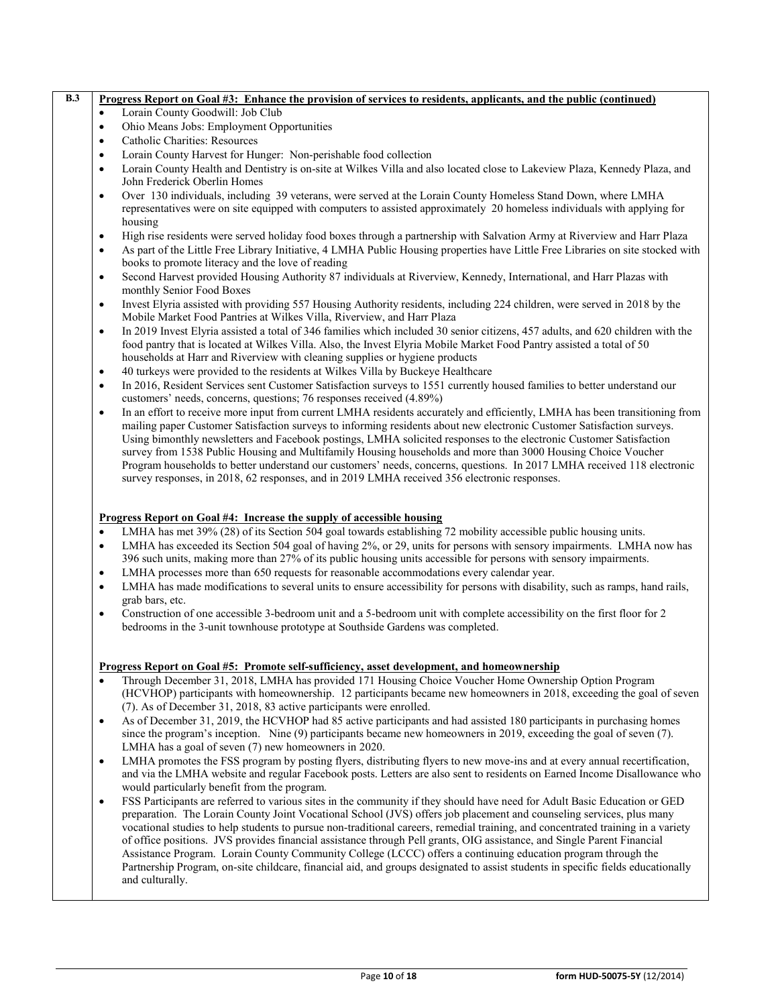|                                                  | Progress Report on Goal #3: Enhance the provision of services to residents, applicants, and the public (continued)                                                                                                                                                                                                                                                                                                                                                                                                                                                                                                                                                                                                      |
|--------------------------------------------------|-------------------------------------------------------------------------------------------------------------------------------------------------------------------------------------------------------------------------------------------------------------------------------------------------------------------------------------------------------------------------------------------------------------------------------------------------------------------------------------------------------------------------------------------------------------------------------------------------------------------------------------------------------------------------------------------------------------------------|
| $\bullet$                                        | Lorain County Goodwill: Job Club                                                                                                                                                                                                                                                                                                                                                                                                                                                                                                                                                                                                                                                                                        |
| $\bullet$                                        | Ohio Means Jobs: Employment Opportunities                                                                                                                                                                                                                                                                                                                                                                                                                                                                                                                                                                                                                                                                               |
| $\bullet$                                        | Catholic Charities: Resources                                                                                                                                                                                                                                                                                                                                                                                                                                                                                                                                                                                                                                                                                           |
| $\bullet$                                        | Lorain County Harvest for Hunger: Non-perishable food collection                                                                                                                                                                                                                                                                                                                                                                                                                                                                                                                                                                                                                                                        |
| $\bullet$                                        | Lorain County Health and Dentistry is on-site at Wilkes Villa and also located close to Lakeview Plaza, Kennedy Plaza, and<br>John Frederick Oberlin Homes                                                                                                                                                                                                                                                                                                                                                                                                                                                                                                                                                              |
| $\bullet$                                        | Over 130 individuals, including 39 veterans, were served at the Lorain County Homeless Stand Down, where LMHA<br>representatives were on site equipped with computers to assisted approximately 20 homeless individuals with applying for<br>housing                                                                                                                                                                                                                                                                                                                                                                                                                                                                    |
| $\bullet$                                        | High rise residents were served holiday food boxes through a partnership with Salvation Army at Riverview and Harr Plaza                                                                                                                                                                                                                                                                                                                                                                                                                                                                                                                                                                                                |
| $\bullet$                                        | As part of the Little Free Library Initiative, 4 LMHA Public Housing properties have Little Free Libraries on site stocked with<br>books to promote literacy and the love of reading                                                                                                                                                                                                                                                                                                                                                                                                                                                                                                                                    |
| $\bullet$                                        | Second Harvest provided Housing Authority 87 individuals at Riverview, Kennedy, International, and Harr Plazas with<br>monthly Senior Food Boxes                                                                                                                                                                                                                                                                                                                                                                                                                                                                                                                                                                        |
| $\bullet$                                        | Invest Elyria assisted with providing 557 Housing Authority residents, including 224 children, were served in 2018 by the<br>Mobile Market Food Pantries at Wilkes Villa, Riverview, and Harr Plaza                                                                                                                                                                                                                                                                                                                                                                                                                                                                                                                     |
| $\bullet$                                        | In 2019 Invest Elyria assisted a total of 346 families which included 30 senior citizens, 457 adults, and 620 children with the<br>food pantry that is located at Wilkes Villa. Also, the Invest Elyria Mobile Market Food Pantry assisted a total of 50<br>households at Harr and Riverview with cleaning supplies or hygiene products                                                                                                                                                                                                                                                                                                                                                                                 |
| $\bullet$                                        | 40 turkeys were provided to the residents at Wilkes Villa by Buckeye Healthcare                                                                                                                                                                                                                                                                                                                                                                                                                                                                                                                                                                                                                                         |
| $\bullet$                                        | In 2016, Resident Services sent Customer Satisfaction surveys to 1551 currently housed families to better understand our<br>customers' needs, concerns, questions; 76 responses received (4.89%)                                                                                                                                                                                                                                                                                                                                                                                                                                                                                                                        |
| $\bullet$                                        | In an effort to receive more input from current LMHA residents accurately and efficiently, LMHA has been transitioning from<br>mailing paper Customer Satisfaction surveys to informing residents about new electronic Customer Satisfaction surveys.<br>Using bimonthly newsletters and Facebook postings, LMHA solicited responses to the electronic Customer Satisfaction<br>survey from 1538 Public Housing and Multifamily Housing households and more than 3000 Housing Choice Voucher<br>Program households to better understand our customers' needs, concerns, questions. In 2017 LMHA received 118 electronic<br>survey responses, in 2018, 62 responses, and in 2019 LMHA received 356 electronic responses. |
| $\bullet$<br>$\bullet$<br>$\bullet$<br>$\bullet$ | <b>Progress Report on Goal #4: Increase the supply of accessible housing</b><br>LMHA has met 39% (28) of its Section 504 goal towards establishing 72 mobility accessible public housing units.<br>LMHA has exceeded its Section 504 goal of having 2%, or 29, units for persons with sensory impairments. LMHA now has<br>396 such units, making more than 27% of its public housing units accessible for persons with sensory impairments.<br>LMHA processes more than 650 requests for reasonable accommodations every calendar year.<br>LMHA has made modifications to several units to ensure accessibility for persons with disability, such as ramps, hand rails,<br>grab bars, etc.                             |
| $\bullet$                                        | Construction of one accessible 3-bedroom unit and a 5-bedroom unit with complete accessibility on the first floor for 2<br>bedrooms in the 3-unit townhouse prototype at Southside Gardens was completed.                                                                                                                                                                                                                                                                                                                                                                                                                                                                                                               |
| $\bullet$<br>$\bullet$                           | Progress Report on Goal #5: Promote self-sufficiency, asset development, and homeownership<br>Through December 31, 2018, LMHA has provided 171 Housing Choice Voucher Home Ownership Option Program<br>(HCVHOP) participants with homeownership. 12 participants became new homeowners in 2018, exceeding the goal of seven<br>(7). As of December 31, 2018, 83 active participants were enrolled.<br>As of December 31, 2019, the HCVHOP had 85 active participants and had assisted 180 participants in purchasing homes                                                                                                                                                                                              |
|                                                  | since the program's inception. Nine (9) participants became new homeowners in 2019, exceeding the goal of seven (7).<br>LMHA has a goal of seven (7) new homeowners in 2020.                                                                                                                                                                                                                                                                                                                                                                                                                                                                                                                                            |
| $\bullet$                                        | LMHA promotes the FSS program by posting flyers, distributing flyers to new move-ins and at every annual recertification,                                                                                                                                                                                                                                                                                                                                                                                                                                                                                                                                                                                               |

- and via the LMHA website and regular Facebook posts. Letters are also sent to residents on Earned Income Disallowance who would particularly benefit from the program. • FSS Participants are referred to various sites in the community if they should have need for Adult Basic Education or GED preparation. The Lorain County Joint Vocational School (JVS) offers job placement and counseling services, plus many
- vocational studies to help students to pursue non-traditional careers, remedial training, and concentrated training in a variety of office positions. JVS provides financial assistance through Pell grants, OIG assistance, and Single Parent Financial Assistance Program. Lorain County Community College (LCCC) offers a continuing education program through the Partnership Program, on-site childcare, financial aid, and groups designated to assist students in specific fields educationally and culturally.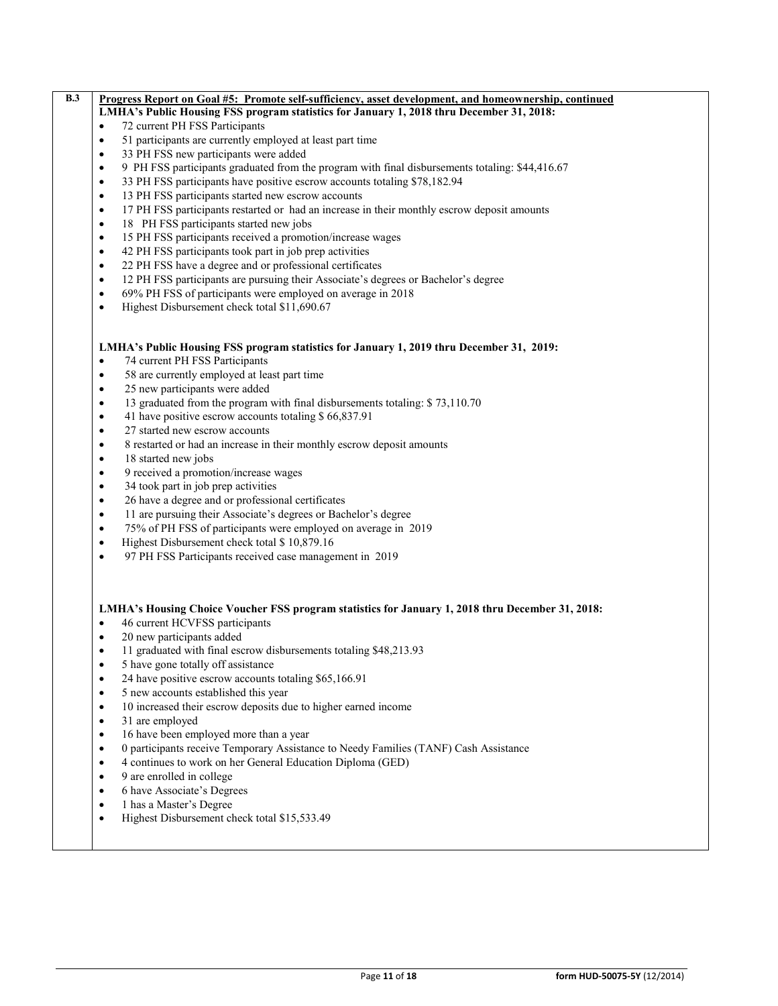| B.3 | <u>Progress Report on Goal #5: Promote self-sufficiency, asset development, and homeownership, continued</u> |
|-----|--------------------------------------------------------------------------------------------------------------|
|     | LMHA's Public Housing FSS program statistics for January 1, 2018 thru December 31, 2018:                     |
|     | 72 current PH FSS Participants<br>$\bullet$                                                                  |
|     | 51 participants are currently employed at least part time<br>$\bullet$                                       |
|     | 33 PH FSS new participants were added<br>$\bullet$                                                           |
|     | 9 PH FSS participants graduated from the program with final disbursements totaling: \$44,416.67<br>$\bullet$ |
|     | 33 PH FSS participants have positive escrow accounts totaling \$78,182.94<br>$\bullet$                       |
|     | 13 PH FSS participants started new escrow accounts<br>$\bullet$                                              |
|     | 17 PH FSS participants restarted or had an increase in their monthly escrow deposit amounts<br>$\bullet$     |
|     | 18 PH FSS participants started new jobs<br>$\bullet$                                                         |
|     | 15 PH FSS participants received a promotion/increase wages<br>$\bullet$                                      |
|     | 42 PH FSS participants took part in job prep activities<br>$\bullet$                                         |
|     | 22 PH FSS have a degree and or professional certificates<br>$\bullet$                                        |
|     | 12 PH FSS participants are pursuing their Associate's degrees or Bachelor's degree<br>$\bullet$              |
|     | 69% PH FSS of participants were employed on average in 2018<br>$\bullet$                                     |
|     | Highest Disbursement check total \$11,690.67<br>$\bullet$                                                    |
|     |                                                                                                              |
|     |                                                                                                              |
|     | LMHA's Public Housing FSS program statistics for January 1, 2019 thru December 31, 2019:                     |
|     | 74 current PH FSS Participants<br>$\bullet$                                                                  |
|     | 58 are currently employed at least part time<br>$\bullet$                                                    |
|     | 25 new participants were added<br>$\bullet$                                                                  |
|     | 13 graduated from the program with final disbursements totaling: \$73,110.70<br>$\bullet$                    |
|     | 41 have positive escrow accounts totaling \$ 66,837.91<br>$\bullet$                                          |
|     | 27 started new escrow accounts<br>$\bullet$                                                                  |
|     | 8 restarted or had an increase in their monthly escrow deposit amounts<br>$\bullet$                          |
|     | 18 started new jobs<br>$\bullet$                                                                             |
|     | 9 received a promotion/increase wages<br>$\bullet$                                                           |
|     | 34 took part in job prep activities<br>$\bullet$                                                             |
|     | 26 have a degree and or professional certificates<br>$\bullet$                                               |
|     | 11 are pursuing their Associate's degrees or Bachelor's degree<br>$\bullet$                                  |
|     | 75% of PH FSS of participants were employed on average in 2019<br>$\bullet$                                  |
|     | Highest Disbursement check total \$10,879.16<br>$\bullet$                                                    |
|     | 97 PH FSS Participants received case management in 2019<br>$\bullet$                                         |
|     |                                                                                                              |
|     |                                                                                                              |
|     |                                                                                                              |
|     | LMHA's Housing Choice Voucher FSS program statistics for January 1, 2018 thru December 31, 2018:             |
|     | 46 current HCVFSS participants<br>$\bullet$                                                                  |
|     | 20 new participants added<br>$\bullet$                                                                       |
|     | 11 graduated with final escrow disbursements totaling \$48,213.93<br>$\bullet$                               |
|     | 5 have gone totally off assistance<br>$\bullet$                                                              |
|     | 24 have positive escrow accounts totaling \$65,166.91<br>٠                                                   |
|     | 5 new accounts established this year<br>$\bullet$                                                            |
|     | 10 increased their escrow deposits due to higher earned income<br>$\bullet$                                  |
|     | 31 are employed<br>$\bullet$                                                                                 |
|     | 16 have been employed more than a year<br>$\bullet$                                                          |
|     | 0 participants receive Temporary Assistance to Needy Families (TANF) Cash Assistance<br>$\bullet$            |
|     | 4 continues to work on her General Education Diploma (GED)                                                   |
|     | 9 are enrolled in college                                                                                    |
|     | 6 have Associate's Degrees<br>$\bullet$                                                                      |
|     | 1 has a Master's Degree<br>$\bullet$                                                                         |
|     | Highest Disbursement check total \$15,533.49<br>$\bullet$                                                    |
|     |                                                                                                              |
|     |                                                                                                              |
|     |                                                                                                              |
|     |                                                                                                              |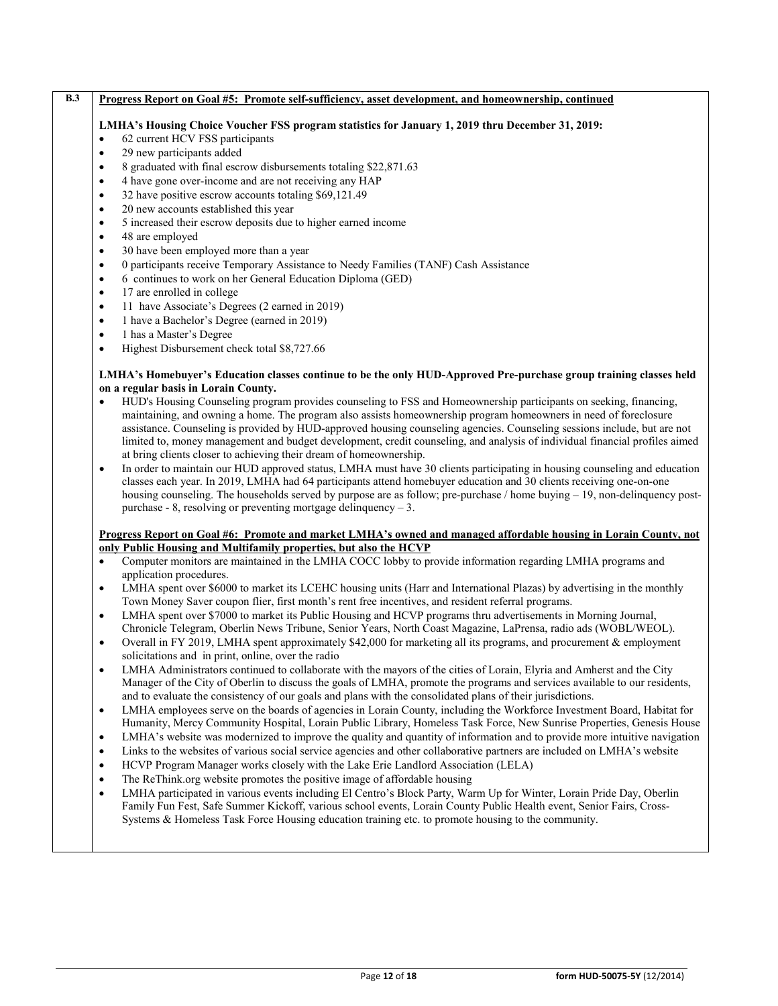| $\bullet$ | LMHA's Housing Choice Voucher FSS program statistics for January 1, 2019 thru December 31, 2019:<br>62 current HCV FSS participants                                                                                                                                                                                                                                                                                                                                                                                                                                                                                                                                                                                                                                                                                                                                                                                                                                                                                                                                                                                                   |
|-----------|---------------------------------------------------------------------------------------------------------------------------------------------------------------------------------------------------------------------------------------------------------------------------------------------------------------------------------------------------------------------------------------------------------------------------------------------------------------------------------------------------------------------------------------------------------------------------------------------------------------------------------------------------------------------------------------------------------------------------------------------------------------------------------------------------------------------------------------------------------------------------------------------------------------------------------------------------------------------------------------------------------------------------------------------------------------------------------------------------------------------------------------|
| $\bullet$ | 29 new participants added                                                                                                                                                                                                                                                                                                                                                                                                                                                                                                                                                                                                                                                                                                                                                                                                                                                                                                                                                                                                                                                                                                             |
| $\bullet$ | 8 graduated with final escrow disbursements totaling \$22,871.63                                                                                                                                                                                                                                                                                                                                                                                                                                                                                                                                                                                                                                                                                                                                                                                                                                                                                                                                                                                                                                                                      |
| $\bullet$ | 4 have gone over-income and are not receiving any HAP                                                                                                                                                                                                                                                                                                                                                                                                                                                                                                                                                                                                                                                                                                                                                                                                                                                                                                                                                                                                                                                                                 |
| $\bullet$ | 32 have positive escrow accounts totaling \$69,121.49                                                                                                                                                                                                                                                                                                                                                                                                                                                                                                                                                                                                                                                                                                                                                                                                                                                                                                                                                                                                                                                                                 |
| $\bullet$ | 20 new accounts established this year                                                                                                                                                                                                                                                                                                                                                                                                                                                                                                                                                                                                                                                                                                                                                                                                                                                                                                                                                                                                                                                                                                 |
| $\bullet$ | 5 increased their escrow deposits due to higher earned income                                                                                                                                                                                                                                                                                                                                                                                                                                                                                                                                                                                                                                                                                                                                                                                                                                                                                                                                                                                                                                                                         |
| $\bullet$ | 48 are employed                                                                                                                                                                                                                                                                                                                                                                                                                                                                                                                                                                                                                                                                                                                                                                                                                                                                                                                                                                                                                                                                                                                       |
| $\bullet$ | 30 have been employed more than a year                                                                                                                                                                                                                                                                                                                                                                                                                                                                                                                                                                                                                                                                                                                                                                                                                                                                                                                                                                                                                                                                                                |
| $\bullet$ | 0 participants receive Temporary Assistance to Needy Families (TANF) Cash Assistance                                                                                                                                                                                                                                                                                                                                                                                                                                                                                                                                                                                                                                                                                                                                                                                                                                                                                                                                                                                                                                                  |
| $\bullet$ | 6 continues to work on her General Education Diploma (GED)                                                                                                                                                                                                                                                                                                                                                                                                                                                                                                                                                                                                                                                                                                                                                                                                                                                                                                                                                                                                                                                                            |
| $\bullet$ | 17 are enrolled in college                                                                                                                                                                                                                                                                                                                                                                                                                                                                                                                                                                                                                                                                                                                                                                                                                                                                                                                                                                                                                                                                                                            |
| $\bullet$ | 11 have Associate's Degrees (2 earned in 2019)                                                                                                                                                                                                                                                                                                                                                                                                                                                                                                                                                                                                                                                                                                                                                                                                                                                                                                                                                                                                                                                                                        |
| $\bullet$ | 1 have a Bachelor's Degree (earned in 2019)                                                                                                                                                                                                                                                                                                                                                                                                                                                                                                                                                                                                                                                                                                                                                                                                                                                                                                                                                                                                                                                                                           |
| $\bullet$ | 1 has a Master's Degree                                                                                                                                                                                                                                                                                                                                                                                                                                                                                                                                                                                                                                                                                                                                                                                                                                                                                                                                                                                                                                                                                                               |
| $\bullet$ | Highest Disbursement check total \$8,727.66                                                                                                                                                                                                                                                                                                                                                                                                                                                                                                                                                                                                                                                                                                                                                                                                                                                                                                                                                                                                                                                                                           |
|           | LMHA's Homebuyer's Education classes continue to be the only HUD-Approved Pre-purchase group training classes held                                                                                                                                                                                                                                                                                                                                                                                                                                                                                                                                                                                                                                                                                                                                                                                                                                                                                                                                                                                                                    |
|           | on a regular basis in Lorain County.                                                                                                                                                                                                                                                                                                                                                                                                                                                                                                                                                                                                                                                                                                                                                                                                                                                                                                                                                                                                                                                                                                  |
| $\bullet$ | HUD's Housing Counseling program provides counseling to FSS and Homeownership participants on seeking, financing,                                                                                                                                                                                                                                                                                                                                                                                                                                                                                                                                                                                                                                                                                                                                                                                                                                                                                                                                                                                                                     |
|           | maintaining, and owning a home. The program also assists homeownership program homeowners in need of foreclosure                                                                                                                                                                                                                                                                                                                                                                                                                                                                                                                                                                                                                                                                                                                                                                                                                                                                                                                                                                                                                      |
|           | assistance. Counseling is provided by HUD-approved housing counseling agencies. Counseling sessions include, but are not                                                                                                                                                                                                                                                                                                                                                                                                                                                                                                                                                                                                                                                                                                                                                                                                                                                                                                                                                                                                              |
|           | limited to, money management and budget development, credit counseling, and analysis of individual financial profiles aimed                                                                                                                                                                                                                                                                                                                                                                                                                                                                                                                                                                                                                                                                                                                                                                                                                                                                                                                                                                                                           |
|           | at bring clients closer to achieving their dream of homeownership.                                                                                                                                                                                                                                                                                                                                                                                                                                                                                                                                                                                                                                                                                                                                                                                                                                                                                                                                                                                                                                                                    |
| $\bullet$ | In order to maintain our HUD approved status, LMHA must have 30 clients participating in housing counseling and education                                                                                                                                                                                                                                                                                                                                                                                                                                                                                                                                                                                                                                                                                                                                                                                                                                                                                                                                                                                                             |
|           | classes each year. In 2019, LMHA had 64 participants attend homebuyer education and 30 clients receiving one-on-one                                                                                                                                                                                                                                                                                                                                                                                                                                                                                                                                                                                                                                                                                                                                                                                                                                                                                                                                                                                                                   |
|           | housing counseling. The households served by purpose are as follow; pre-purchase / home buying - 19, non-delinquency post-                                                                                                                                                                                                                                                                                                                                                                                                                                                                                                                                                                                                                                                                                                                                                                                                                                                                                                                                                                                                            |
|           | purchase - 8, resolving or preventing mortgage delinquency $-3$ .                                                                                                                                                                                                                                                                                                                                                                                                                                                                                                                                                                                                                                                                                                                                                                                                                                                                                                                                                                                                                                                                     |
|           | Progress Report on Goal #6: Promote and market LMHA's owned and managed affordable housing in Lorain County, not                                                                                                                                                                                                                                                                                                                                                                                                                                                                                                                                                                                                                                                                                                                                                                                                                                                                                                                                                                                                                      |
|           | only Public Housing and Multifamily properties, but also the HCVP                                                                                                                                                                                                                                                                                                                                                                                                                                                                                                                                                                                                                                                                                                                                                                                                                                                                                                                                                                                                                                                                     |
| $\bullet$ | Computer monitors are maintained in the LMHA COCC lobby to provide information regarding LMHA programs and                                                                                                                                                                                                                                                                                                                                                                                                                                                                                                                                                                                                                                                                                                                                                                                                                                                                                                                                                                                                                            |
|           | application procedures.                                                                                                                                                                                                                                                                                                                                                                                                                                                                                                                                                                                                                                                                                                                                                                                                                                                                                                                                                                                                                                                                                                               |
|           |                                                                                                                                                                                                                                                                                                                                                                                                                                                                                                                                                                                                                                                                                                                                                                                                                                                                                                                                                                                                                                                                                                                                       |
|           | LMHA spent over \$6000 to market its LCEHC housing units (Harr and International Plazas) by advertising in the monthly                                                                                                                                                                                                                                                                                                                                                                                                                                                                                                                                                                                                                                                                                                                                                                                                                                                                                                                                                                                                                |
| $\bullet$ | Town Money Saver coupon flier, first month's rent free incentives, and resident referral programs.                                                                                                                                                                                                                                                                                                                                                                                                                                                                                                                                                                                                                                                                                                                                                                                                                                                                                                                                                                                                                                    |
| $\bullet$ | LMHA spent over \$7000 to market its Public Housing and HCVP programs thru advertisements in Morning Journal,                                                                                                                                                                                                                                                                                                                                                                                                                                                                                                                                                                                                                                                                                                                                                                                                                                                                                                                                                                                                                         |
|           | Chronicle Telegram, Oberlin News Tribune, Senior Years, North Coast Magazine, LaPrensa, radio ads (WOBL/WEOL).                                                                                                                                                                                                                                                                                                                                                                                                                                                                                                                                                                                                                                                                                                                                                                                                                                                                                                                                                                                                                        |
| $\bullet$ |                                                                                                                                                                                                                                                                                                                                                                                                                                                                                                                                                                                                                                                                                                                                                                                                                                                                                                                                                                                                                                                                                                                                       |
|           | solicitations and in print, online, over the radio                                                                                                                                                                                                                                                                                                                                                                                                                                                                                                                                                                                                                                                                                                                                                                                                                                                                                                                                                                                                                                                                                    |
| $\bullet$ |                                                                                                                                                                                                                                                                                                                                                                                                                                                                                                                                                                                                                                                                                                                                                                                                                                                                                                                                                                                                                                                                                                                                       |
|           |                                                                                                                                                                                                                                                                                                                                                                                                                                                                                                                                                                                                                                                                                                                                                                                                                                                                                                                                                                                                                                                                                                                                       |
|           | and to evaluate the consistency of our goals and plans with the consolidated plans of their jurisdictions.                                                                                                                                                                                                                                                                                                                                                                                                                                                                                                                                                                                                                                                                                                                                                                                                                                                                                                                                                                                                                            |
| $\bullet$ |                                                                                                                                                                                                                                                                                                                                                                                                                                                                                                                                                                                                                                                                                                                                                                                                                                                                                                                                                                                                                                                                                                                                       |
|           |                                                                                                                                                                                                                                                                                                                                                                                                                                                                                                                                                                                                                                                                                                                                                                                                                                                                                                                                                                                                                                                                                                                                       |
| $\bullet$ |                                                                                                                                                                                                                                                                                                                                                                                                                                                                                                                                                                                                                                                                                                                                                                                                                                                                                                                                                                                                                                                                                                                                       |
| $\bullet$ |                                                                                                                                                                                                                                                                                                                                                                                                                                                                                                                                                                                                                                                                                                                                                                                                                                                                                                                                                                                                                                                                                                                                       |
| $\bullet$ | HCVP Program Manager works closely with the Lake Erie Landlord Association (LELA)                                                                                                                                                                                                                                                                                                                                                                                                                                                                                                                                                                                                                                                                                                                                                                                                                                                                                                                                                                                                                                                     |
| $\bullet$ | The ReThink.org website promotes the positive image of affordable housing                                                                                                                                                                                                                                                                                                                                                                                                                                                                                                                                                                                                                                                                                                                                                                                                                                                                                                                                                                                                                                                             |
| $\bullet$ | Overall in FY 2019, LMHA spent approximately \$42,000 for marketing all its programs, and procurement & employment<br>LMHA Administrators continued to collaborate with the mayors of the cities of Lorain, Elyria and Amherst and the City<br>Manager of the City of Oberlin to discuss the goals of LMHA, promote the programs and services available to our residents,<br>LMHA employees serve on the boards of agencies in Lorain County, including the Workforce Investment Board, Habitat for<br>Humanity, Mercy Community Hospital, Lorain Public Library, Homeless Task Force, New Sunrise Properties, Genesis House<br>LMHA's website was modernized to improve the quality and quantity of information and to provide more intuitive navigation<br>Links to the websites of various social service agencies and other collaborative partners are included on LMHA's website<br>LMHA participated in various events including El Centro's Block Party, Warm Up for Winter, Lorain Pride Day, Oberlin<br>Family Fun Fest, Safe Summer Kickoff, various school events, Lorain County Public Health event, Senior Fairs, Cross- |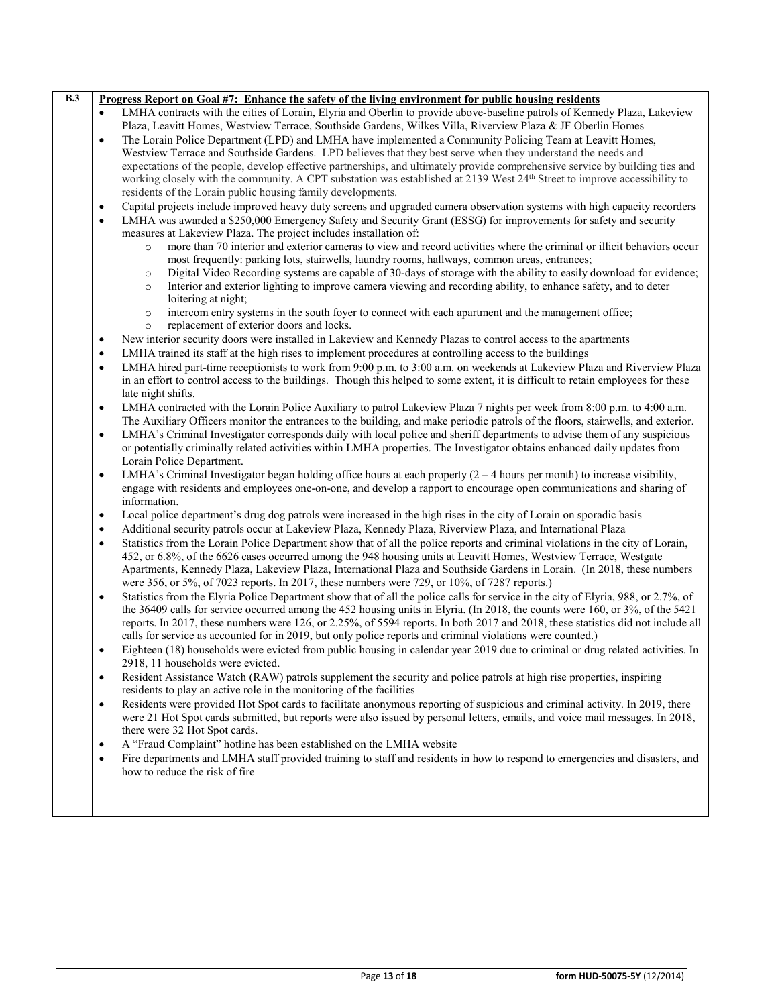|           | <u>Progress Report on Goal #7: Enhance the safety of the living environment for public housing residents</u>                                                                          |
|-----------|---------------------------------------------------------------------------------------------------------------------------------------------------------------------------------------|
| $\bullet$ | LMHA contracts with the cities of Lorain, Elyria and Oberlin to provide above-baseline patrols of Kennedy Plaza, Lakeview                                                             |
|           | Plaza, Leavitt Homes, Westview Terrace, Southside Gardens, Wilkes Villa, Riverview Plaza & JF Oberlin Homes                                                                           |
| $\bullet$ | The Lorain Police Department (LPD) and LMHA have implemented a Community Policing Team at Leavitt Homes,                                                                              |
|           | Westview Terrace and Southside Gardens. LPD believes that they best serve when they understand the needs and                                                                          |
|           | expectations of the people, develop effective partnerships, and ultimately provide comprehensive service by building ties and                                                         |
|           | working closely with the community. A CPT substation was established at 2139 West 24 <sup>th</sup> Street to improve accessibility to                                                 |
|           | residents of the Lorain public housing family developments.                                                                                                                           |
| $\bullet$ | Capital projects include improved heavy duty screens and upgraded camera observation systems with high capacity recorders                                                             |
| $\bullet$ | LMHA was awarded a \$250,000 Emergency Safety and Security Grant (ESSG) for improvements for safety and security<br>measures at Lakeview Plaza. The project includes installation of: |
|           | more than 70 interior and exterior cameras to view and record activities where the criminal or illicit behaviors occur<br>$\circ$                                                     |
|           | most frequently: parking lots, stairwells, laundry rooms, hallways, common areas, entrances;                                                                                          |
|           | Digital Video Recording systems are capable of 30-days of storage with the ability to easily download for evidence;<br>$\circ$                                                        |
|           | Interior and exterior lighting to improve camera viewing and recording ability, to enhance safety, and to deter<br>$\circ$                                                            |
|           | loitering at night;                                                                                                                                                                   |
|           | intercom entry systems in the south foyer to connect with each apartment and the management office;<br>$\circ$                                                                        |
|           | replacement of exterior doors and locks.<br>$\circ$                                                                                                                                   |
| $\bullet$ | New interior security doors were installed in Lakeview and Kennedy Plazas to control access to the apartments                                                                         |
| $\bullet$ | LMHA trained its staff at the high rises to implement procedures at controlling access to the buildings                                                                               |
| $\bullet$ | LMHA hired part-time receptionists to work from 9:00 p.m. to 3:00 a.m. on weekends at Lakeview Plaza and Riverview Plaza                                                              |
|           | in an effort to control access to the buildings. Though this helped to some extent, it is difficult to retain employees for these                                                     |
|           | late night shifts.                                                                                                                                                                    |
| $\bullet$ | LMHA contracted with the Lorain Police Auxiliary to patrol Lakeview Plaza 7 nights per week from 8:00 p.m. to 4:00 a.m.                                                               |
|           | The Auxiliary Officers monitor the entrances to the building, and make periodic patrols of the floors, stairwells, and exterior.                                                      |
| $\bullet$ | LMHA's Criminal Investigator corresponds daily with local police and sheriff departments to advise them of any suspicious                                                             |
|           | or potentially criminally related activities within LMHA properties. The Investigator obtains enhanced daily updates from                                                             |
|           | Lorain Police Department.                                                                                                                                                             |
|           | LMHA's Criminal Investigator began holding office hours at each property $(2 - 4$ hours per month) to increase visibility,                                                            |
| $\bullet$ |                                                                                                                                                                                       |
|           | engage with residents and employees one-on-one, and develop a rapport to encourage open communications and sharing of<br>information.                                                 |
|           |                                                                                                                                                                                       |
| $\bullet$ | Local police department's drug dog patrols were increased in the high rises in the city of Lorain on sporadic basis                                                                   |
| ٠         | Additional security patrols occur at Lakeview Plaza, Kennedy Plaza, Riverview Plaza, and International Plaza                                                                          |
| $\bullet$ | Statistics from the Lorain Police Department show that of all the police reports and criminal violations in the city of Lorain,                                                       |
|           | 452, or 6.8%, of the 6626 cases occurred among the 948 housing units at Leavitt Homes, Westview Terrace, Westgate                                                                     |
|           | Apartments, Kennedy Plaza, Lakeview Plaza, International Plaza and Southside Gardens in Lorain. (In 2018, these numbers                                                               |
|           | were 356, or 5%, of 7023 reports. In 2017, these numbers were 729, or 10%, of 7287 reports.)                                                                                          |
| $\bullet$ | Statistics from the Elyria Police Department show that of all the police calls for service in the city of Elyria, 988, or 2.7%, of                                                    |
|           | the 36409 calls for service occurred among the 452 housing units in Elyria. (In 2018, the counts were 160, or 3%, of the 5421                                                         |
|           | reports. In 2017, these numbers were 126, or 2.25%, of 5594 reports. In both 2017 and 2018, these statistics did not include all                                                      |
|           | calls for service as accounted for in 2019, but only police reports and criminal violations were counted.)                                                                            |
| $\bullet$ | Eighteen (18) households were evicted from public housing in calendar year 2019 due to criminal or drug related activities. In<br>2918, 11 households were evicted.                   |
| $\bullet$ | Resident Assistance Watch (RAW) patrols supplement the security and police patrols at high rise properties, inspiring                                                                 |
|           | residents to play an active role in the monitoring of the facilities                                                                                                                  |
| ٠         | Residents were provided Hot Spot cards to facilitate anonymous reporting of suspicious and criminal activity. In 2019, there                                                          |
|           | were 21 Hot Spot cards submitted, but reports were also issued by personal letters, emails, and voice mail messages. In 2018,<br>there were 32 Hot Spot cards.                        |
| $\bullet$ | A "Fraud Complaint" hotline has been established on the LMHA website                                                                                                                  |
|           | Fire departments and LMHA staff provided training to staff and residents in how to respond to emergencies and disasters, and                                                          |
|           |                                                                                                                                                                                       |
| $\bullet$ | how to reduce the risk of fire                                                                                                                                                        |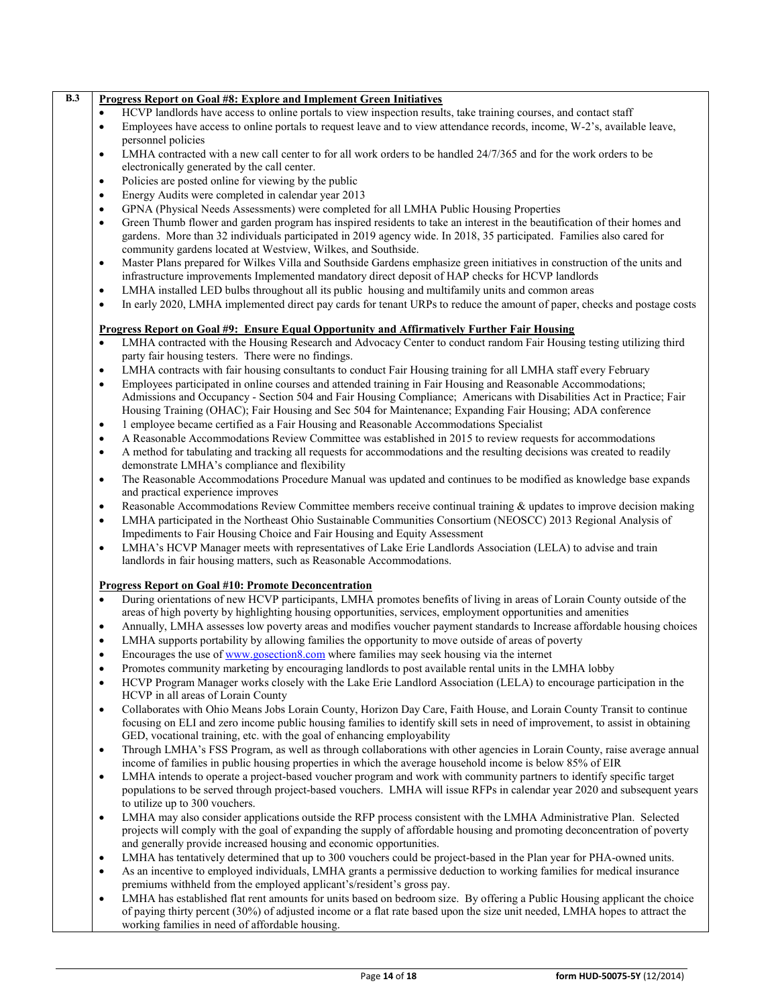|                | <b>Progress Report on Goal #8: Explore and Implement Green Initiatives</b>                                                                                                                                                                                                                                                                                                                                                                                             |  |  |
|----------------|------------------------------------------------------------------------------------------------------------------------------------------------------------------------------------------------------------------------------------------------------------------------------------------------------------------------------------------------------------------------------------------------------------------------------------------------------------------------|--|--|
| $\bullet$      | HCVP landlords have access to online portals to view inspection results, take training courses, and contact staff                                                                                                                                                                                                                                                                                                                                                      |  |  |
| $\bullet$      | Employees have access to online portals to request leave and to view attendance records, income, W-2's, available leave,<br>personnel policies                                                                                                                                                                                                                                                                                                                         |  |  |
| $\bullet$      | LMHA contracted with a new call center to for all work orders to be handled 24/7/365 and for the work orders to be<br>electronically generated by the call center.                                                                                                                                                                                                                                                                                                     |  |  |
| $\bullet$      | Policies are posted online for viewing by the public                                                                                                                                                                                                                                                                                                                                                                                                                   |  |  |
| $\bullet$      | Energy Audits were completed in calendar year 2013                                                                                                                                                                                                                                                                                                                                                                                                                     |  |  |
| $\bullet$      | GPNA (Physical Needs Assessments) were completed for all LMHA Public Housing Properties                                                                                                                                                                                                                                                                                                                                                                                |  |  |
| ٠              | Green Thumb flower and garden program has inspired residents to take an interest in the beautification of their homes and<br>gardens. More than 32 individuals participated in 2019 agency wide. In 2018, 35 participated. Families also cared for<br>community gardens located at Westview, Wilkes, and Southside.                                                                                                                                                    |  |  |
| ٠              | Master Plans prepared for Wilkes Villa and Southside Gardens emphasize green initiatives in construction of the units and<br>infrastructure improvements Implemented mandatory direct deposit of HAP checks for HCVP landlords                                                                                                                                                                                                                                         |  |  |
| $\bullet$      | LMHA installed LED bulbs throughout all its public housing and multifamily units and common areas                                                                                                                                                                                                                                                                                                                                                                      |  |  |
| $\bullet$      | In early 2020, LMHA implemented direct pay cards for tenant URPs to reduce the amount of paper, checks and postage costs                                                                                                                                                                                                                                                                                                                                               |  |  |
|                | <u><b>Progress Report on Goal #9: Ensure Equal Opportunity and Affirmatively Further Fair Housing</b></u>                                                                                                                                                                                                                                                                                                                                                              |  |  |
| $\bullet$      | LMHA contracted with the Housing Research and Advocacy Center to conduct random Fair Housing testing utilizing third                                                                                                                                                                                                                                                                                                                                                   |  |  |
|                | party fair housing testers. There were no findings.                                                                                                                                                                                                                                                                                                                                                                                                                    |  |  |
| ٠<br>$\bullet$ | LMHA contracts with fair housing consultants to conduct Fair Housing training for all LMHA staff every February<br>Employees participated in online courses and attended training in Fair Housing and Reasonable Accommodations;<br>Admissions and Occupancy - Section 504 and Fair Housing Compliance; Americans with Disabilities Act in Practice; Fair<br>Housing Training (OHAC); Fair Housing and Sec 504 for Maintenance; Expanding Fair Housing; ADA conference |  |  |
| $\bullet$      | 1 employee became certified as a Fair Housing and Reasonable Accommodations Specialist                                                                                                                                                                                                                                                                                                                                                                                 |  |  |
| ٠              | A Reasonable Accommodations Review Committee was established in 2015 to review requests for accommodations                                                                                                                                                                                                                                                                                                                                                             |  |  |
| $\bullet$      | A method for tabulating and tracking all requests for accommodations and the resulting decisions was created to readily<br>demonstrate LMHA's compliance and flexibility                                                                                                                                                                                                                                                                                               |  |  |
| $\bullet$      | The Reasonable Accommodations Procedure Manual was updated and continues to be modified as knowledge base expands                                                                                                                                                                                                                                                                                                                                                      |  |  |
|                | and practical experience improves                                                                                                                                                                                                                                                                                                                                                                                                                                      |  |  |
| ٠              | Reasonable Accommodations Review Committee members receive continual training & updates to improve decision making                                                                                                                                                                                                                                                                                                                                                     |  |  |
| $\bullet$      | LMHA participated in the Northeast Ohio Sustainable Communities Consortium (NEOSCC) 2013 Regional Analysis of<br>Impediments to Fair Housing Choice and Fair Housing and Equity Assessment                                                                                                                                                                                                                                                                             |  |  |
| $\bullet$      | LMHA's HCVP Manager meets with representatives of Lake Erie Landlords Association (LELA) to advise and train<br>landlords in fair housing matters, such as Reasonable Accommodations.                                                                                                                                                                                                                                                                                  |  |  |
|                | <b>Progress Report on Goal #10: Promote Deconcentration</b>                                                                                                                                                                                                                                                                                                                                                                                                            |  |  |
| $\bullet$      | During orientations of new HCVP participants, LMHA promotes benefits of living in areas of Lorain County outside of the<br>areas of high poverty by highlighting housing opportunities, services, employment opportunities and amenities                                                                                                                                                                                                                               |  |  |
| $\bullet$      | Annually, LMHA assesses low poverty areas and modifies voucher payment standards to Increase affordable housing choices                                                                                                                                                                                                                                                                                                                                                |  |  |
| $\bullet$      | LMHA supports portability by allowing families the opportunity to move outside of areas of poverty                                                                                                                                                                                                                                                                                                                                                                     |  |  |
| $\bullet$      | Encourages the use of www.gosection8.com where families may seek housing via the internet                                                                                                                                                                                                                                                                                                                                                                              |  |  |
| $\bullet$      | Promotes community marketing by encouraging landlords to post available rental units in the LMHA lobby                                                                                                                                                                                                                                                                                                                                                                 |  |  |
| $\bullet$      | HCVP Program Manager works closely with the Lake Erie Landlord Association (LELA) to encourage participation in the<br>HCVP in all areas of Lorain County                                                                                                                                                                                                                                                                                                              |  |  |
| $\bullet$      | Collaborates with Ohio Means Jobs Lorain County, Horizon Day Care, Faith House, and Lorain County Transit to continue<br>focusing on ELI and zero income public housing families to identify skill sets in need of improvement, to assist in obtaining                                                                                                                                                                                                                 |  |  |
| ٠              | GED, vocational training, etc. with the goal of enhancing employability<br>Through LMHA's FSS Program, as well as through collaborations with other agencies in Lorain County, raise average annual                                                                                                                                                                                                                                                                    |  |  |
|                | income of families in public housing properties in which the average household income is below 85% of EIR                                                                                                                                                                                                                                                                                                                                                              |  |  |
| $\bullet$      | LMHA intends to operate a project-based voucher program and work with community partners to identify specific target<br>populations to be served through project-based vouchers. LMHA will issue RFPs in calendar year 2020 and subsequent years<br>to utilize up to 300 vouchers.                                                                                                                                                                                     |  |  |
| $\bullet$      | LMHA may also consider applications outside the RFP process consistent with the LMHA Administrative Plan. Selected<br>projects will comply with the goal of expanding the supply of affordable housing and promoting deconcentration of poverty<br>and generally provide increased housing and economic opportunities.                                                                                                                                                 |  |  |
| ٠              | LMHA has tentatively determined that up to 300 vouchers could be project-based in the Plan year for PHA-owned units.                                                                                                                                                                                                                                                                                                                                                   |  |  |
| $\bullet$      | As an incentive to employed individuals, LMHA grants a permissive deduction to working families for medical insurance<br>premiums withheld from the employed applicant's/resident's gross pay.                                                                                                                                                                                                                                                                         |  |  |
| $\bullet$      | LMHA has established flat rent amounts for units based on bedroom size. By offering a Public Housing applicant the choice                                                                                                                                                                                                                                                                                                                                              |  |  |

• LMHA has established flat rent amounts for units based on bedroom size. By offering a Public Housing applicant the choice of paying thirty percent (30%) of adjusted income or a flat rate based upon the size unit needed, LMHA hopes to attract the working families in need of affordable housing.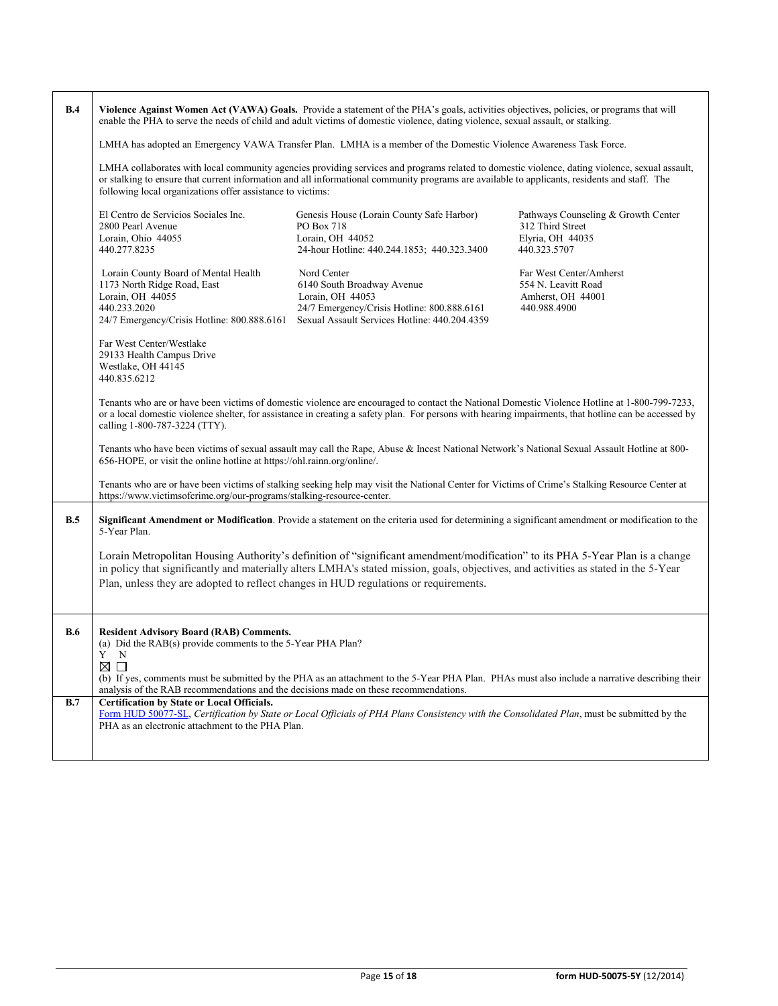| B.4        | Violence Against Women Act (VAWA) Goals. Provide a statement of the PHA's goals, activities objectives, policies, or programs that will<br>enable the PHA to serve the needs of child and adult victims of domestic violence, dating violence, sexual assault, or stalking.                                                                                   |                                                                                                                                                               |                                                                                             |  |  |
|------------|---------------------------------------------------------------------------------------------------------------------------------------------------------------------------------------------------------------------------------------------------------------------------------------------------------------------------------------------------------------|---------------------------------------------------------------------------------------------------------------------------------------------------------------|---------------------------------------------------------------------------------------------|--|--|
|            | LMHA has adopted an Emergency VAWA Transfer Plan. LMHA is a member of the Domestic Violence Awareness Task Force.                                                                                                                                                                                                                                             |                                                                                                                                                               |                                                                                             |  |  |
|            | LMHA collaborates with local community agencies providing services and programs related to domestic violence, dating violence, sexual assault,<br>or stalking to ensure that current information and all informational community programs are available to applicants, residents and staff. The<br>following local organizations offer assistance to victims: |                                                                                                                                                               |                                                                                             |  |  |
|            | El Centro de Servicios Sociales Inc.<br>2800 Pearl Avenue<br>Lorain, Ohio 44055<br>440.277.8235                                                                                                                                                                                                                                                               | Genesis House (Lorain County Safe Harbor)<br>PO Box 718<br>Lorain, OH 44052<br>24-hour Hotline: 440.244.1853; 440.323.3400                                    | Pathways Counseling & Growth Center<br>312 Third Street<br>Elyria, OH 44035<br>440.323.5707 |  |  |
|            | Lorain County Board of Mental Health<br>1173 North Ridge Road, East<br>Lorain, OH 44055<br>440.233.2020<br>24/7 Emergency/Crisis Hotline: 800.888.6161                                                                                                                                                                                                        | Nord Center<br>6140 South Broadway Avenue<br>Lorain, OH 44053<br>24/7 Emergency/Crisis Hotline: 800.888.6161<br>Sexual Assault Services Hotline: 440.204.4359 | Far West Center/Amherst<br>554 N. Leavitt Road<br>Amherst, OH 44001<br>440.988.4900         |  |  |
|            | Far West Center/Westlake<br>29133 Health Campus Drive<br>Westlake, OH 44145<br>440.835.6212                                                                                                                                                                                                                                                                   |                                                                                                                                                               |                                                                                             |  |  |
|            | Tenants who are or have been victims of domestic violence are encouraged to contact the National Domestic Violence Hotline at 1-800-799-7233,<br>or a local domestic violence shelter, for assistance in creating a safety plan. For persons with hearing impairments, that hotline can be accessed by<br>calling 1-800-787-3224 (TTY).                       |                                                                                                                                                               |                                                                                             |  |  |
|            | Tenants who have been victims of sexual assault may call the Rape, Abuse & Incest National Network's National Sexual Assault Hotline at 800-<br>656-HOPE, or visit the online hotline at https://ohl.rainn.org/online/.                                                                                                                                       |                                                                                                                                                               |                                                                                             |  |  |
|            | Tenants who are or have been victims of stalking seeking help may visit the National Center for Victims of Crime's Stalking Resource Center at<br>https://www.victimsofcrime.org/our-programs/stalking-resource-center.                                                                                                                                       |                                                                                                                                                               |                                                                                             |  |  |
| B.5        | Significant Amendment or Modification. Provide a statement on the criteria used for determining a significant amendment or modification to the<br>5-Year Plan.                                                                                                                                                                                                |                                                                                                                                                               |                                                                                             |  |  |
|            | Lorain Metropolitan Housing Authority's definition of "significant amendment/modification" to its PHA 5-Year Plan is a change<br>in policy that significantly and materially alters LMHA's stated mission, goals, objectives, and activities as stated in the 5-Year<br>Plan, unless they are adopted to reflect changes in HUD regulations or requirements.  |                                                                                                                                                               |                                                                                             |  |  |
| <b>B.6</b> | <b>Resident Advisory Board (RAB) Comments.</b><br>(a) Did the RAB(s) provide comments to the 5-Year PHA Plan?<br>$\overline{Y}$ N<br>$\boxtimes$ $\Box$                                                                                                                                                                                                       |                                                                                                                                                               |                                                                                             |  |  |
|            | (b) If yes, comments must be submitted by the PHA as an attachment to the 5-Year PHA Plan. PHAs must also include a narrative describing their<br>analysis of the RAB recommendations and the decisions made on these recommendations.                                                                                                                        |                                                                                                                                                               |                                                                                             |  |  |
| B.7        | <b>Certification by State or Local Officials.</b><br>Form HUD 50077-SL, Certification by State or Local Officials of PHA Plans Consistency with the Consolidated Plan, must be submitted by the<br>PHA as an electronic attachment to the PHA Plan.                                                                                                           |                                                                                                                                                               |                                                                                             |  |  |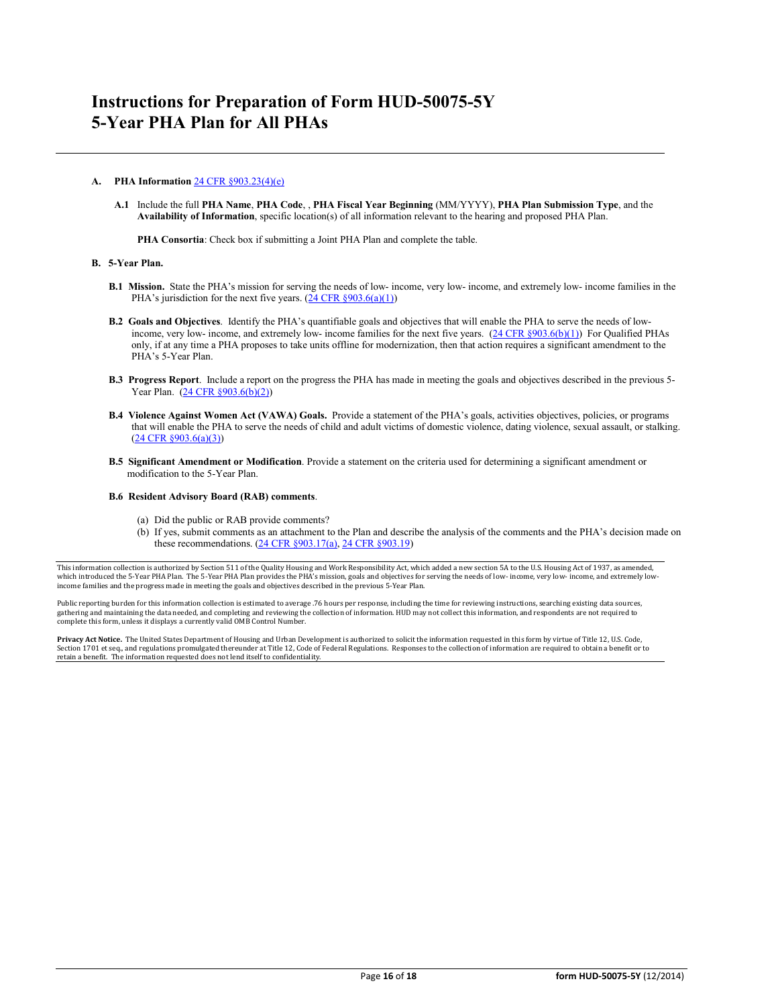### **A. PHA Information** [24 CFR §903.23\(4\)\(e\)](http://ecfr.gpoaccess.gov/cgi/t/text/text-idx?c=ecfr&sid=13734845220744370804c20da2294a03&rgn=div5&view=text&node=24:4.0.3.1.3&idno=24#24:4.0.3.1.3.2.5.14)

**A.1** Include the full **PHA Name**, **PHA Code**, , **PHA Fiscal Year Beginning** (MM/YYYY), **PHA Plan Submission Type**, and the **Availability of Information**, specific location(s) of all information relevant to the hearing and proposed PHA Plan.

**PHA Consortia**: Check box if submitting a Joint PHA Plan and complete the table.

#### **B. 5-Year Plan.**

- **B.1 Mission.** State the PHA's mission for serving the needs of low- income, very low- income, and extremely low- income families in the PHA's jurisdiction for the next five years.  $(24 \text{ CFR } \frac{8903.6(a)(1)}{24 \text{ CFR } \frac{1}{2}})$
- **B.2 Goals and Objectives**. Identify the PHA's quantifiable goals and objectives that will enable the PHA to serve the needs of low-income, very low- income, and extremely low- income families for the next five years. [\(24 CFR §903.6\(b\)\(1\)\)](http://ecfr.gpoaccess.gov/cgi/t/text/text-idx?c=ecfr&sid=13734845220744370804c20da2294a03&rgn=div5&view=text&node=24:4.0.3.1.3&idno=24#24:4.0.3.1.3.2.5.4) For Qualified PHAs only, if at any time a PHA proposes to take units offline for modernization, then that action requires a significant amendment to the PHA's 5-Year Plan.
- **B.3 Progress Report**. Include a report on the progress the PHA has made in meeting the goals and objectives described in the previous 5- Year Plan. [\(24 CFR §903.6\(b\)\(2\)\)](http://ecfr.gpoaccess.gov/cgi/t/text/text-idx?c=ecfr&sid=13734845220744370804c20da2294a03&rgn=div5&view=text&node=24:4.0.3.1.3&idno=24#24:4.0.3.1.3.2.5.4)
- **B.4 Violence Against Women Act (VAWA) Goals.** Provide a statement of the PHA's goals, activities objectives, policies, or programs that will enable the PHA to serve the needs of child and adult victims of domestic violence, dating violence, sexual assault, or stalking. [\(24 CFR §903.6\(a\)\(3\)\)](http://ecfr.gpoaccess.gov/cgi/t/text/text-idx?c=ecfr&sid=13734845220744370804c20da2294a03&rgn=div5&view=text&node=24:4.0.3.1.3&idno=24#24:4.0.3.1.3.2.5.4)
- **B.5 Significant Amendment or Modification**. Provide a statement on the criteria used for determining a significant amendment or modification to the 5-Year Plan.

#### **B.6 Resident Advisory Board (RAB) comments**.

- (a) Did the public or RAB provide comments?
- (b) If yes, submit comments as an attachment to the Plan and describe the analysis of the comments and the PHA's decision made on these recommendations. (24 CFR §903.17(a), [24 CFR §903.19\)](http://ecfr.gpoaccess.gov/cgi/t/text/text-idx?c=ecfr&sid=f41eb312b1425d2a95a2478fde61e11f&rgn=div5&view=text&node=24:4.0.3.1.3&idno=24#24:4.0.3.1.3.2.5.12)

This information collection is authorized by Section 511 of the Quality Housing and Work Responsibility Act, which added a new section 5A to the U.S. Housing Act of 1937, as amended, which introduced the 5-Year PHA Plan. The 5-Year PHA Plan provides the PHA's mission, goals and objectives for serving the needs of low- income, very low- income, and extremely low income families and the progress made in meeting the goals and objectives described in the previous 5-Year Plan.

Public reporting burden for this information collection is estimated to average .76 hours per response, including the time for reviewing instructions, searching existing data sources, gathering and maintaining the data needed, and completing and reviewing the collection of information. HUD may not collect this information, and respondents are not required to<br>complete this form, unless it displays a curr

**Privacy Act Notice.** The United States Department of Housing and Urban Development is authorized to solicit the information requested in this form by virtue of Title 12, U.S. Code,<br>Section 1701 et seq., and regulations pr retain a benefit. The information requested does not lend itself to confidentiality.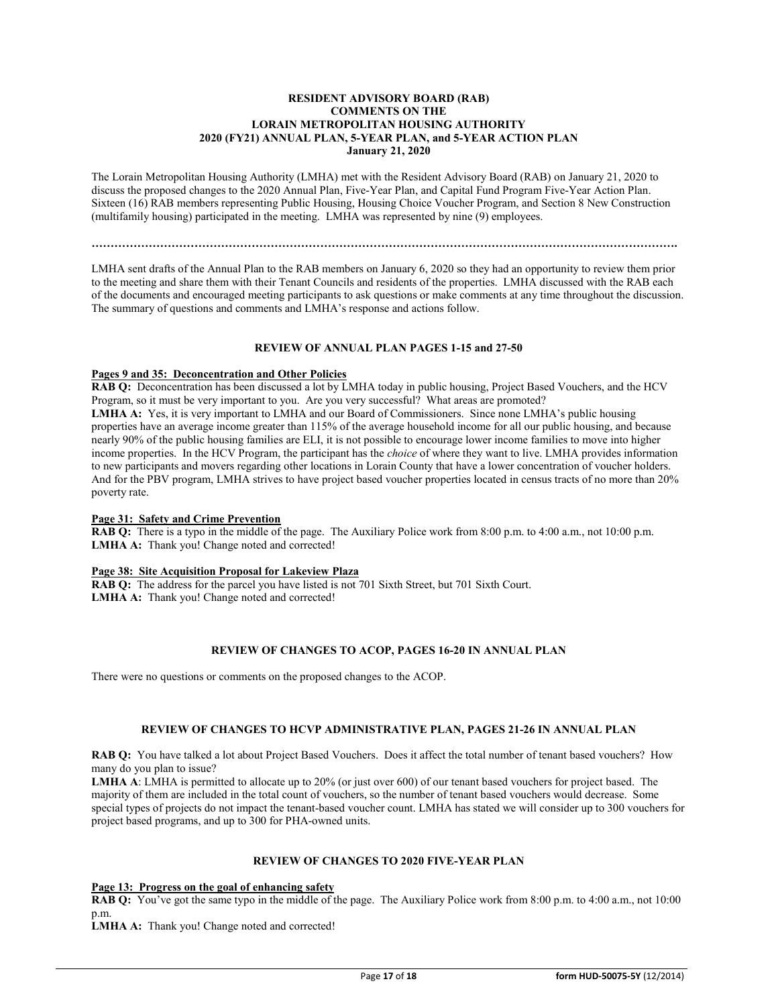### **RESIDENT ADVISORY BOARD (RAB) COMMENTS ON THE LORAIN METROPOLITAN HOUSING AUTHORITY 2020 (FY21) ANNUAL PLAN, 5-YEAR PLAN, and 5-YEAR ACTION PLAN January 21, 2020**

The Lorain Metropolitan Housing Authority (LMHA) met with the Resident Advisory Board (RAB) on January 21, 2020 to discuss the proposed changes to the 2020 Annual Plan, Five-Year Plan, and Capital Fund Program Five-Year Action Plan. Sixteen (16) RAB members representing Public Housing, Housing Choice Voucher Program, and Section 8 New Construction (multifamily housing) participated in the meeting. LMHA was represented by nine (9) employees.

**……………………………………………………………………………………………………………………………………….**

LMHA sent drafts of the Annual Plan to the RAB members on January 6, 2020 so they had an opportunity to review them prior to the meeting and share them with their Tenant Councils and residents of the properties. LMHA discussed with the RAB each of the documents and encouraged meeting participants to ask questions or make comments at any time throughout the discussion. The summary of questions and comments and LMHA's response and actions follow.

### **REVIEW OF ANNUAL PLAN PAGES 1-15 and 27-50**

### **Pages 9 and 35: Deconcentration and Other Policies**

RAB Q: Deconcentration has been discussed a lot by LMHA today in public housing, Project Based Vouchers, and the HCV Program, so it must be very important to you. Are you very successful? What areas are promoted? LMHA A: Yes, it is very important to LMHA and our Board of Commissioners. Since none LMHA's public housing properties have an average income greater than 115% of the average household income for all our public housing, and because nearly 90% of the public housing families are ELI, it is not possible to encourage lower income families to move into higher income properties. In the HCV Program, the participant has the *choice* of where they want to live. LMHA provides information to new participants and movers regarding other locations in Lorain County that have a lower concentration of voucher holders. And for the PBV program, LMHA strives to have project based voucher properties located in census tracts of no more than 20% poverty rate.

### **Page 31: Safety and Crime Prevention**

**RAB Q:** There is a typo in the middle of the page. The Auxiliary Police work from 8:00 p.m. to 4:00 a.m., not 10:00 p.m. LMHA A: Thank you! Change noted and corrected!

#### **Page 38: Site Acquisition Proposal for Lakeview Plaza**

**RAB Q:** The address for the parcel you have listed is not 701 Sixth Street, but 701 Sixth Court. **LMHA A:** Thank you! Change noted and corrected!

### **REVIEW OF CHANGES TO ACOP, PAGES 16-20 IN ANNUAL PLAN**

There were no questions or comments on the proposed changes to the ACOP.

### **REVIEW OF CHANGES TO HCVP ADMINISTRATIVE PLAN, PAGES 21-26 IN ANNUAL PLAN**

**RAB Q:** You have talked a lot about Project Based Vouchers. Does it affect the total number of tenant based vouchers? How many do you plan to issue?

**LMHA A**: LMHA is permitted to allocate up to 20% (or just over 600) of our tenant based vouchers for project based. The majority of them are included in the total count of vouchers, so the number of tenant based vouchers would decrease. Some special types of projects do not impact the tenant-based voucher count. LMHA has stated we will consider up to 300 vouchers for project based programs, and up to 300 for PHA-owned units.

## **REVIEW OF CHANGES TO 2020 FIVE-YEAR PLAN**

### **Page 13: Progress on the goal of enhancing safety**

**RAB Q:** You've got the same typo in the middle of the page. The Auxiliary Police work from 8:00 p.m. to 4:00 a.m., not 10:00 p.m.

**LMHA A:** Thank you! Change noted and corrected!